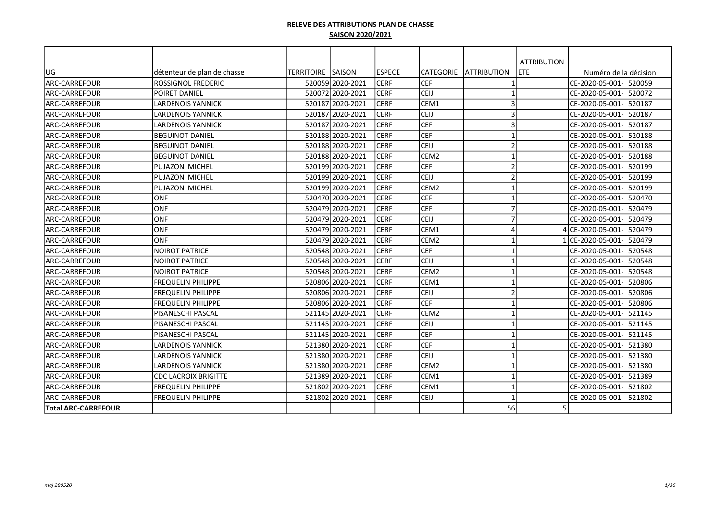| lug                        | détenteur de plan de chasse | TERRITOIRE ISAISON |                  | <b>IESPECE</b> | CATEGORIE        | <b>JATTRIBUTION</b> | <b>ATTRIBUTION</b><br><b>ETE</b> | Numéro de la décision    |
|----------------------------|-----------------------------|--------------------|------------------|----------------|------------------|---------------------|----------------------------------|--------------------------|
| ARC-CARREFOUR              | <b>ROSSIGNOL FREDERIC</b>   |                    | 520059 2020-2021 | <b>ICERF</b>   | <b>CEF</b>       |                     |                                  | CE-2020-05-001- 520059   |
| <b>ARC-CARREFOUR</b>       | POIRET DANIEL               |                    | 520072 2020-2021 | <b>CERF</b>    | CEIJ             | $\mathbf 1$         |                                  | CE-2020-05-001- 520072   |
| larc-carrefour             | <b>LARDENOIS YANNICK</b>    |                    | 520187 2020-2021 | <b>CERF</b>    | CEM1             | 3                   |                                  | ICE-2020-05-001- 520187  |
| ARC-CARREFOUR              | <b>LARDENOIS YANNICK</b>    |                    | 520187 2020-2021 | <b>CERF</b>    | CEIJ             | $\overline{3}$      |                                  | CE-2020-05-001- 520187   |
| larc-carrefour             | <b>LARDENOIS YANNICK</b>    |                    | 520187 2020-2021 | <b>CERF</b>    | <b>CEF</b>       | 3                   |                                  | ICE-2020-05-001- 520187  |
| ARC-CARREFOUR              | <b>BEGUINOT DANIEL</b>      |                    | 520188 2020-2021 | <b>CERF</b>    | <b>CEF</b>       |                     |                                  | CE-2020-05-001- 520188   |
| larc-carrefour             | <b>BEGUINOT DANIEL</b>      |                    | 520188 2020-2021 | <b>ICERF</b>   | <b>CEIJ</b>      | $\overline{2}$      |                                  | ICE-2020-05-001- 520188  |
| ARC-CARREFOUR              | <b>BEGUINOT DANIEL</b>      |                    | 520188 2020-2021 | <b>CERF</b>    | CEM <sub>2</sub> |                     |                                  | CE-2020-05-001- 520188   |
|                            | <b>PUJAZON MICHEL</b>       |                    |                  |                | CEF              |                     |                                  |                          |
| <b>ARC-CARREFOUR</b>       |                             |                    | 520199 2020-2021 | <b>CERF</b>    |                  | 2<br>2              |                                  | ICE-2020-05-001- 520199  |
| ARC-CARREFOUR              | PUJAZON MICHEL              |                    | 520199 2020-2021 | <b>CERF</b>    | CEIJ             |                     |                                  | CE-2020-05-001- 520199   |
| <b>ARC-CARREFOUR</b>       | PUJAZON MICHEL              |                    | 520199 2020-2021 | <b>CERF</b>    | CEM <sub>2</sub> |                     |                                  | ICE-2020-05-001- 520199  |
| ARC-CARREFOUR              | ONF                         |                    | 520470 2020-2021 | <b>CERF</b>    | <b>CEF</b>       | $\overline{7}$      |                                  | CE-2020-05-001- 520470   |
| ARC-CARREFOUR              | ONF                         |                    | 520479 2020-2021 | <b>CERF</b>    | <b>CEF</b>       |                     |                                  | CE-2020-05-001- 520479   |
| ARC-CARREFOUR              | <b>ONF</b>                  |                    | 520479 2020-2021 | <b>CERF</b>    | CEIJ             | $\overline{7}$      |                                  | CE-2020-05-001- 520479   |
| ARC-CARREFOUR              | <b>ONF</b>                  |                    | 520479 2020-2021 | <b>CERF</b>    | CEM1             | $\Delta$            |                                  | 4 CE-2020-05-001- 520479 |
| <b>ARC-CARREFOUR</b>       | ONF                         |                    | 520479 2020-2021 | <b>CERF</b>    | CEM <sub>2</sub> |                     |                                  | LICE-2020-05-001- 520479 |
| ARC-CARREFOUR              | <b>NOIROT PATRICE</b>       |                    | 520548 2020-2021 | <b>CERF</b>    | <b>CEF</b>       | $\overline{1}$      |                                  | CE-2020-05-001- 520548   |
| larc-carrefour             | INOIROT PATRICE             |                    | 520548 2020-2021 | CERF           | <b>CEIJ</b>      | -1                  |                                  | ICE-2020-05-001- 520548  |
| ARC-CARREFOUR              | <b>NOIROT PATRICE</b>       |                    | 520548 2020-2021 | <b>CERF</b>    | CEM <sub>2</sub> | $\mathbf 1$         |                                  | CE-2020-05-001- 520548   |
| larc-carrefour             | <b>FREQUELIN PHILIPPE</b>   |                    | 520806 2020-2021 | <b>CERF</b>    | CEM1             |                     |                                  | ICE-2020-05-001- 520806  |
| ARC-CARREFOUR              | FREQUELIN PHILIPPE          |                    | 520806 2020-2021 | <b>CERF</b>    | CEIJ             | $\overline{2}$      |                                  | CE-2020-05-001- 520806   |
| ARC-CARREFOUR              | FREQUELIN PHILIPPE          |                    | 520806 2020-2021 | <b>CERF</b>    | <b>CEF</b>       | $\mathbf 1$         |                                  | CE-2020-05-001- 520806   |
| <b>ARC-CARREFOUR</b>       | PISANESCHI PASCAL           |                    | 521145 2020-2021 | <b>CERF</b>    | CEM <sub>2</sub> |                     |                                  | ICE-2020-05-001- 521145  |
| ARC-CARREFOUR              | <b>PISANESCHI PASCAL</b>    |                    | 521145 2020-2021 | <b>CERF</b>    | CEIJ             |                     |                                  | CE-2020-05-001- 521145   |
| <b>ARC-CARREFOUR</b>       | <b>PISANESCHI PASCAL</b>    |                    | 521145 2020-2021 | <b>CERF</b>    | CEF              |                     |                                  | CE-2020-05-001- 521145   |
| <b>ARC-CARREFOUR</b>       | <b>LARDENOIS YANNICK</b>    |                    | 521380 2020-2021 | <b>CERF</b>    | CEF              |                     |                                  | CE-2020-05-001- 521380   |
| ARC-CARREFOUR              | <b>LARDENOIS YANNICK</b>    |                    | 521380 2020-2021 | <b>CERF</b>    | CEIJ             |                     |                                  | ICE-2020-05-001- 521380  |
| ARC-CARREFOUR              | <b>LARDENOIS YANNICK</b>    |                    | 521380 2020-2021 | <b>CERF</b>    | CEM <sub>2</sub> |                     |                                  | CE-2020-05-001- 521380   |
| larc-carrefour             | <b>CDC LACROIX BRIGITTE</b> |                    | 521389 2020-2021 | <b>ICERF</b>   | CEM1             | -1                  |                                  | CE-2020-05-001- 521389   |
| ARC-CARREFOUR              | <b>FREQUELIN PHILIPPE</b>   |                    | 521802 2020-2021 | <b>CERF</b>    | CEM1             | $\mathbf{1}$        |                                  | CE-2020-05-001- 521802   |
| larc-carrefour             | <b>FREQUELIN PHILIPPE</b>   |                    | 521802 2020-2021 | <b>ICERF</b>   | CEIJ             |                     |                                  | CE-2020-05-001- 521802   |
| <b>Total ARC-CARREFOUR</b> |                             |                    |                  |                |                  | 56                  |                                  |                          |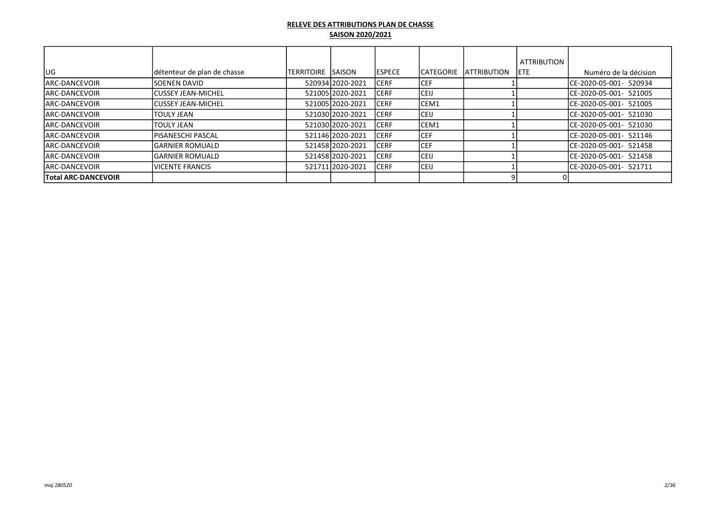|                            |                             |                     |                  |                |                   |                    | <b>ATTRIBUTION</b> |                         |
|----------------------------|-----------------------------|---------------------|------------------|----------------|-------------------|--------------------|--------------------|-------------------------|
| lug                        | détenteur de plan de chasse | ITERRITOIRE ISAISON |                  | <b>IESPECE</b> | <b>ICATEGORIE</b> | <b>ATTRIBUTION</b> | IETE.              | Numéro de la décision   |
| <b>JARC-DANCEVOIR</b>      | <b>ISOENEN DAVID</b>        |                     | 52093412020-2021 | ICERF          | ICEF.             |                    |                    | ICE-2020-05-001- 520934 |
| <b>JARC-DANCEVOIR</b>      | <b>ICUSSEY JEAN-MICHEL</b>  |                     | 52100512020-2021 | <b>CERF</b>    | <b>ICEIJ</b>      |                    |                    | ICE-2020-05-001- 521005 |
| <b>IARC-DANCEVOIR</b>      | <b>ICUSSEY JEAN-MICHEL</b>  |                     | 52100512020-2021 | <b>CERF</b>    | ICEM1             |                    |                    | ICE-2020-05-001- 521005 |
| <b>JARC-DANCEVOIR</b>      | <b>TOULY JEAN</b>           |                     | 521030 2020-2021 | <b>CERF</b>    | <b>ICEIJ</b>      |                    |                    | ICE-2020-05-001- 521030 |
| <b>JARC-DANCEVOIR</b>      | ITOULY JEAN                 |                     | 521030 2020-2021 | <b>CERF</b>    | ICEM1             |                    |                    | ICE-2020-05-001- 521030 |
| <b>JARC-DANCEVOIR</b>      | <b>IPISANESCHI PASCAL</b>   |                     | 521146 2020-2021 | ICERF          | <b>ICEF</b>       |                    |                    | ICE-2020-05-001- 521146 |
| <b>JARC-DANCEVOIR</b>      | IGARNIER ROMUALD            |                     | 52145812020-2021 | <b>CERF</b>    | <b>ICEF</b>       |                    |                    | ICE-2020-05-001- 521458 |
| <b>JARC-DANCEVOIR</b>      | lGARNIER ROMUALD            |                     | 52145812020-2021 | ICERF          | <b>CEIJ</b>       |                    |                    | CE-2020-05-001- 521458  |
| <b>JARC-DANCEVOIR</b>      | IVICENTE FRANCIS            |                     | 521711 2020-2021 | ICERF          | <b>CEIJ</b>       |                    |                    | ICE-2020-05-001- 521711 |
| <b>Total ARC-DANCEVOIR</b> |                             |                     |                  |                |                   |                    |                    |                         |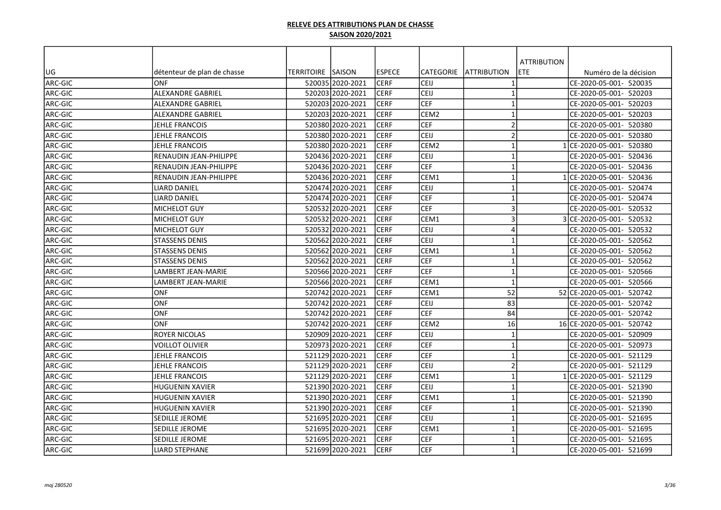|         |                             |                   |                  |                |                  |                          | <b>ATTRIBUTION</b> |                           |
|---------|-----------------------------|-------------------|------------------|----------------|------------------|--------------------------|--------------------|---------------------------|
| UG      | détenteur de plan de chasse | TERRITOIRE SAISON |                  | <b>IESPECE</b> | <b>CATEGORIE</b> | IATTRIBUTION             | <b>ETE</b>         | Numéro de la décision     |
| ARC-GIC | ONF                         |                   | 520035 2020-2021 | <b>ICERF</b>   | CEIJ             | $\mathbf 1$              |                    | CE-2020-05-001- 520035    |
| ARC-GIC | <b>ALEXANDRE GABRIEL</b>    |                   | 520203 2020-2021 | ICERF          | CEIJ             | $\overline{1}$           |                    | CE-2020-05-001- 520203    |
| ARC-GIC | <b>ALEXANDRE GABRIEL</b>    |                   | 520203 2020-2021 | <b>CERF</b>    | <b>CEF</b>       | $\overline{1}$           |                    | CE-2020-05-001- 520203    |
| ARC-GIC | <b>ALEXANDRE GABRIEL</b>    |                   | 520203 2020-2021 | <b>CERF</b>    | CEM <sub>2</sub> | $\mathbf 1$              |                    | CE-2020-05-001- 520203    |
| ARC-GIC | JEHLE FRANCOIS              |                   | 520380 2020-2021 | <b>CERF</b>    | <b>CEF</b>       | $\overline{\phantom{a}}$ |                    | CE-2020-05-001- 520380    |
| ARC-GIC | JEHLE FRANCOIS              |                   | 520380 2020-2021 | <b>CERF</b>    | CEIJ             | $\overline{2}$           |                    | CE-2020-05-001- 520380    |
| ARC-GIC | JEHLE FRANCOIS              |                   | 520380 2020-2021 | <b>CERF</b>    | CEM <sub>2</sub> | $\mathbf{1}$             |                    | ICE-2020-05-001- 520380   |
| ARC-GIC | RENAUDIN JEAN-PHILIPPE      |                   | 520436 2020-2021 | <b>CERF</b>    | CEIJ             | $\overline{1}$           |                    | CE-2020-05-001- 520436    |
| ARC-GIC | RENAUDIN JEAN-PHILIPPE      |                   | 52043612020-2021 | <b>CERF</b>    | <b>CEF</b>       | $\mathbf{1}$             |                    | CE-2020-05-001- 520436    |
| ARC-GIC | RENAUDIN JEAN-PHILIPPE      |                   | 520436 2020-2021 | <b>CERF</b>    | CEM1             | $\overline{1}$           |                    | 1 CE-2020-05-001- 520436  |
| ARC-GIC | <b>LIARD DANIEL</b>         |                   | 520474 2020-2021 | <b>CERF</b>    | CEIJ             | $\overline{1}$           |                    | CE-2020-05-001- 520474    |
| ARC-GIC | <b>LIARD DANIEL</b>         |                   | 52047412020-2021 | CERF           | <b>CEF</b>       | $\overline{1}$           |                    | CE-2020-05-001- 520474    |
| ARC-GIC | MICHELOT GUY                |                   | 520532 2020-2021 | <b>CERF</b>    | <b>CEF</b>       | 3                        |                    | CE-2020-05-001- 520532    |
| ARC-GIC | MICHELOT GUY                |                   | 520532 2020-2021 | <b>CERF</b>    | CEM1             | 3                        |                    | 3 CE-2020-05-001- 520532  |
| ARC-GIC | <b>MICHELOT GUY</b>         |                   | 520532 2020-2021 | <b>CERF</b>    | CEIJ             | $\boldsymbol{\Delta}$    |                    | ICE-2020-05-001- 520532   |
| ARC-GIC | <b>STASSENS DENIS</b>       |                   | 520562 2020-2021 | <b>CERF</b>    | <b>CEIJ</b>      | $\mathbf 1$              |                    | CE-2020-05-001- 520562    |
| ARC-GIC | <b>STASSENS DENIS</b>       |                   | 52056212020-2021 | <b>CERF</b>    | CEM1             | $\mathbf{1}$             |                    | CE-2020-05-001- 520562    |
| ARC-GIC | <b>STASSENS DENIS</b>       |                   | 52056212020-2021 | <b>CERF</b>    | <b>CEF</b>       | $\mathbf{1}$             |                    | CE-2020-05-001- 520562    |
| ARC-GIC | LAMBERT JEAN-MARIE          |                   | 520566 2020-2021 | <b>CERF</b>    | CEF              | $\overline{1}$           |                    | CE-2020-05-001- 520566    |
| ARC-GIC | LAMBERT JEAN-MARIE          |                   | 520566 2020-2021 | <b>CERF</b>    | CEM1             | $\overline{1}$           |                    | CE-2020-05-001- 520566    |
| ARC-GIC | <b>ONF</b>                  |                   | 520742 2020-2021 | <b>CERF</b>    | CEM1             | 52                       |                    | 52 CE-2020-05-001- 520742 |
| ARC-GIC | <b>ONF</b>                  |                   | 520742 2020-2021 | <b>CERF</b>    | CEIJ             | 83                       |                    | CE-2020-05-001- 520742    |
| ARC-GIC | <b>ONF</b>                  |                   | 520742 2020-2021 | <b>CERF</b>    | <b>CEF</b>       | 84                       |                    | CE-2020-05-001- 520742    |
| ARC-GIC | <b>ONF</b>                  |                   | 520742 2020-2021 | <b>CERF</b>    | CEM <sub>2</sub> | 16                       |                    | 16 CE-2020-05-001- 520742 |
| ARC-GIC | <b>ROYER NICOLAS</b>        |                   | 520909 2020-2021 | <b>CERF</b>    | CEIJ             | $\overline{1}$           |                    | CE-2020-05-001- 520909    |
| ARC-GIC | VOILLOT OLIVIER             |                   | 520973 2020-2021 | <b>CERF</b>    | <b>CEF</b>       | $\overline{1}$           |                    | ICE-2020-05-001- 520973   |
| ARC-GIC | JEHLE FRANCOIS              |                   | 521129 2020-2021 | <b>CERF</b>    | <b>CEF</b>       | $\mathbf 1$              |                    | CE-2020-05-001- 521129    |
| ARC-GIC | JEHLE FRANCOIS              |                   | 521129 2020-2021 | <b>CERF</b>    | CEIJ             | $\overline{2}$           |                    | CE-2020-05-001- 521129    |
| ARC-GIC | <b>JEHLE FRANCOIS</b>       |                   | 521129l2020-2021 | <b>CERF</b>    | CEM1             | $\overline{1}$           |                    | CE-2020-05-001- 521129    |
| ARC-GIC | <b>HUGUENIN XAVIER</b>      |                   | 521390 2020-2021 | <b>CERF</b>    | CEIJ             | $\overline{1}$           |                    | CE-2020-05-001- 521390    |
| ARC-GIC | <b>HUGUENIN XAVIER</b>      |                   | 521390 2020-2021 | <b>CERF</b>    | CEM1             | $\overline{1}$           |                    | CE-2020-05-001- 521390    |
| ARC-GIC | <b>HUGUENIN XAVIER</b>      |                   | 521390 2020-2021 | CERF           | <b>CEF</b>       | $\overline{1}$           |                    | CE-2020-05-001- 521390    |
| ARC-GIC | <b>SEDILLE JEROME</b>       |                   | 521695 2020-2021 | <b>ICERF</b>   | CEIJ             | $\mathbf 1$              |                    | CE-2020-05-001- 521695    |
| ARC-GIC | SEDILLE JEROME              |                   | 521695 2020-2021 | <b>CERF</b>    | CEM1             | $\overline{1}$           |                    | CE-2020-05-001- 521695    |
| ARC-GIC | SEDILLE JEROME              |                   | 521695 2020-2021 | <b>CERF</b>    | <b>CEF</b>       | $\overline{\mathbf{1}}$  |                    | CE-2020-05-001- 521695    |
| ARC-GIC | <b>LIARD STEPHANE</b>       |                   | 521699 2020-2021 | <b>CERF</b>    | <b>CEF</b>       | $\overline{1}$           |                    | CE-2020-05-001- 521699    |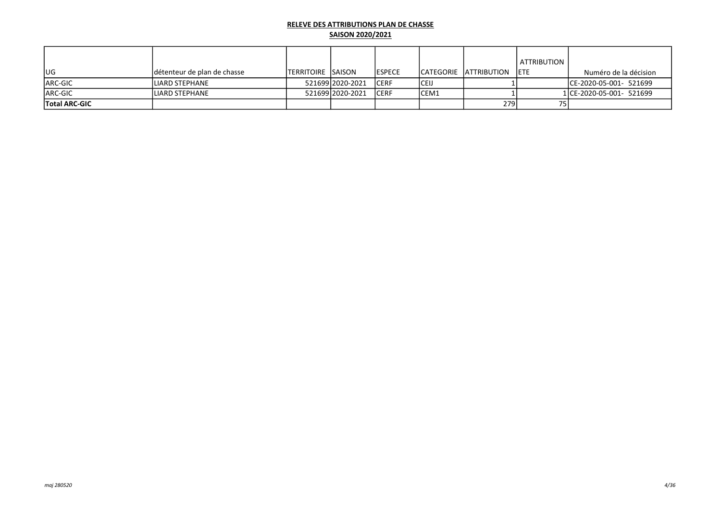|                      |                             |                            |                    |                |       |                         | <b>ATTRIBUTION</b> |                          |
|----------------------|-----------------------------|----------------------------|--------------------|----------------|-------|-------------------------|--------------------|--------------------------|
| lug                  | détenteur de plan de chasse | <b>ITERRITOIRE ISAISON</b> |                    | <b>IESPECE</b> |       | ICATEGORIE IATTRIBUTION | <b>IETE</b>        | Numéro de la décision    |
| ARC-GIC              | lliard stephane             |                            | 521699 2020 - 2021 | <b>ICERF</b>   | ICEIJ |                         |                    | CE-2020-05-001- 521699   |
| <b>ARC-GIC</b>       | LIARD STEPHANE              |                            | 521699 2020 - 2021 | <b>ICERF</b>   | ICEM1 |                         |                    | 1 CE-2020-05-001- 521699 |
| <b>Total ARC-GIC</b> |                             |                            |                    |                |       | 2791                    |                    |                          |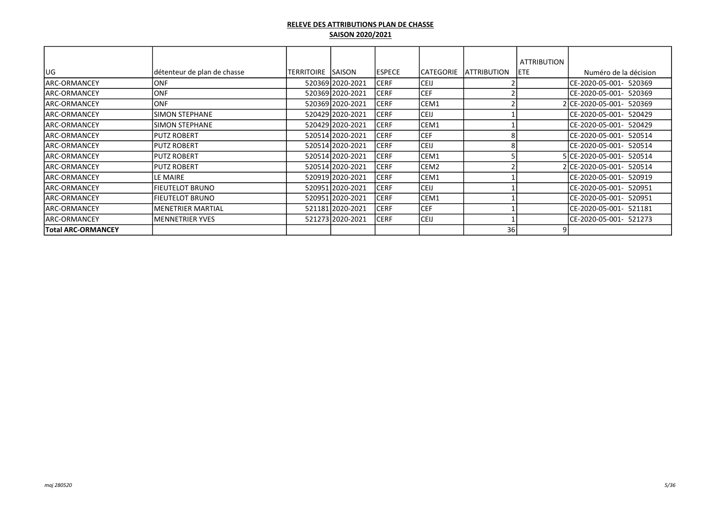|                      |                             |                    |                  |               |                  |                    | <b>ATTRIBUTION</b> |                          |
|----------------------|-----------------------------|--------------------|------------------|---------------|------------------|--------------------|--------------------|--------------------------|
| lug                  | détenteur de plan de chasse | TERRITOIRE  SAISON |                  | <b>ESPECE</b> | CATEGORIE        | <b>ATTRIBUTION</b> | <b>IETE</b>        | Numéro de la décision    |
| lARC-ORMANCEY        | IONF                        |                    | 520369 2020-2021 | <b>CERF</b>   | <b>CEIJ</b>      |                    |                    | ICE-2020-05-001- 520369  |
| lARC-ORMANCEY        | IONF                        |                    | 520369 2020-2021 | <b>CERF</b>   | <b>CEF</b>       |                    |                    | ICE-2020-05-001- 520369  |
| lARC-ORMANCEY        | IONF.                       |                    | 520369 2020-2021 | <b>CERF</b>   | CEM1             |                    |                    | 2 CE-2020-05-001- 520369 |
| lARC-ORMANCEY        | <b>SIMON STEPHANE</b>       |                    | 520429 2020-2021 | ICERF         | <b>CEIJ</b>      |                    |                    | ICE-2020-05-001- 520429  |
| lARC-ORMANCEY        | <b>SIMON STEPHANE</b>       |                    | 520429 2020-2021 | <b>CERF</b>   | CEM1             |                    |                    | ICE-2020-05-001- 520429  |
| <b>ARC-ORMANCEY</b>  | PUTZ ROBERT                 |                    | 520514 2020-2021 | <b>CERF</b>   | <b>CEF</b>       |                    |                    | CE-2020-05-001- 520514   |
| <b>JARC-ORMANCEY</b> | <b>IPUTZ ROBERT</b>         |                    | 520514 2020-2021 | <b>CERF</b>   | <b>CEIJ</b>      |                    |                    | ICE-2020-05-001- 520514  |
| <b>JARC-ORMANCEY</b> | <b>PUTZ ROBERT</b>          |                    | 520514 2020-2021 | <b>CERF</b>   | CEM1             |                    |                    | 5 CE-2020-05-001- 520514 |
| <b>JARC-ORMANCEY</b> | <b>IPUTZ ROBERT</b>         |                    | 520514 2020-2021 | <b>CERF</b>   | CEM <sub>2</sub> |                    |                    | 2 CE-2020-05-001- 520514 |
| lARC-ORMANCEY        | LE MAIRE                    |                    | 520919 2020-2021 | <b>CERF</b>   | CEM1             |                    |                    | ICE-2020-05-001- 520919  |
| lARC-ORMANCEY        | <b>FIEUTELOT BRUNO</b>      |                    | 520951 2020-2021 | <b>CERF</b>   | <b>CEIJ</b>      |                    |                    | ICE-2020-05-001- 520951  |
| lARC-ORMANCEY        | FIEUTELOT BRUNO             |                    | 520951 2020-2021 | <b>CERF</b>   | CEM1             |                    |                    | ICE-2020-05-001- 520951  |
| lARC-ORMANCEY        | <b>MENETRIER MARTIAL</b>    |                    | 521181 2020-2021 | <b>CERF</b>   | <b>CEF</b>       |                    |                    | CE-2020-05-001- 521181   |
| <b>JARC-ORMANCEY</b> | <b>MENNETRIER YVES</b>      |                    | 521273 2020-2021 | <b>CERF</b>   | <b>CEIJ</b>      |                    |                    | CE-2020-05-001- 521273   |
| Total ARC-ORMANCEY   |                             |                    |                  |               |                  | 36                 |                    |                          |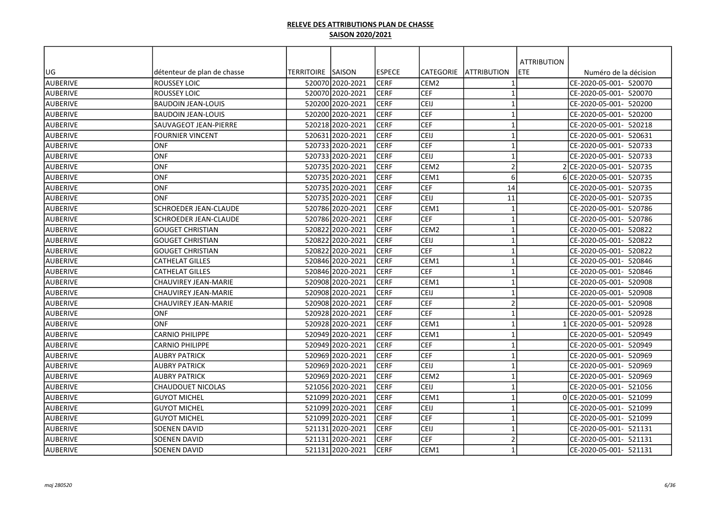|                 |                              |                   |                  |               |                  |                         | <b>ATTRIBUTION</b> |                          |
|-----------------|------------------------------|-------------------|------------------|---------------|------------------|-------------------------|--------------------|--------------------------|
| UG              | détenteur de plan de chasse  | TERRITOIRE SAISON |                  | <b>ESPECE</b> | lCATEGORIE       | <b>ATTRIBUTION</b>      | ETE                | Numéro de la décision    |
| AUBERIVE        | ROUSSEY LOIC                 |                   | 520070 2020-2021 | ICERF         | CEM <sub>2</sub> | $\mathbf 1$             |                    | CE-2020-05-001- 520070   |
| AUBERIVE        | <b>ROUSSEY LOIC</b>          |                   | 520070 2020-2021 | <b>CERF</b>   | <b>CEF</b>       | $\mathbf{1}$            |                    | CE-2020-05-001- 520070   |
| AUBERIVE        | <b>BAUDOIN JEAN-LOUIS</b>    |                   | 520200 2020-2021 | <b>CERF</b>   | CEIJ             | $\overline{1}$          |                    | CE-2020-05-001- 520200   |
| AUBERIVE        | <b>BAUDOIN JEAN-LOUIS</b>    |                   | 520200 2020-2021 | <b>CERF</b>   | <b>CEF</b>       | $\mathbf{1}$            |                    | CE-2020-05-001- 520200   |
| AUBERIVE        | SAUVAGEOT JEAN-PIERRE        |                   | 520218 2020-2021 | <b>CERF</b>   | <b>CEF</b>       | $\mathbf{1}$            |                    | CE-2020-05-001- 520218   |
| AUBERIVE        | FOURNIER VINCENT             |                   | 520631 2020-2021 | <b>CERF</b>   | <b>CEIJ</b>      | $\mathbf{1}$            |                    | CE-2020-05-001- 520631   |
| AUBERIVE        | <b>ONF</b>                   |                   | 520733 2020-2021 | <b>CERF</b>   | <b>CEF</b>       | -1                      |                    | CE-2020-05-001- 520733   |
| AUBERIVE        | ONF                          |                   | 520733 2020-2021 | <b>CERF</b>   | CEIJ             | $\mathbf{1}$            |                    | CE-2020-05-001- 520733   |
| AUBERIVE        | <b>ONF</b>                   |                   | 520735 2020-2021 | <b>CERF</b>   | CEM <sub>2</sub> | $\overline{2}$          |                    | 2 CE-2020-05-001- 520735 |
| AUBERIVE        | <b>ONF</b>                   |                   | 520735 2020-2021 | <b>CERF</b>   | CEM1             | 6                       |                    | 6 CE-2020-05-001- 520735 |
| AUBERIVE        | <b>ONF</b>                   |                   | 520735 2020-2021 | <b>CERF</b>   | <b>CEF</b>       | 14                      |                    | CE-2020-05-001- 520735   |
| AUBERIVE        | <b>ONF</b>                   |                   | 520735 2020-2021 | <b>CERF</b>   | <b>CEIJ</b>      | 11                      |                    | CE-2020-05-001- 520735   |
| AUBERIVE        | SCHROEDER JEAN-CLAUDE        |                   | 520786 2020-2021 | <b>CERF</b>   | CEM1             | $\overline{1}$          |                    | CE-2020-05-001- 520786   |
| <b>AUBERIVE</b> | <b>SCHROEDER JEAN-CLAUDE</b> |                   | 520786 2020-2021 | <b>CERF</b>   | lcef             | -1                      |                    | CE-2020-05-001- 520786   |
| AUBERIVE        | <b>GOUGET CHRISTIAN</b>      |                   | 520822 2020-2021 | <b>CERF</b>   | CEM <sub>2</sub> | $\overline{1}$          |                    | CE-2020-05-001- 520822   |
| AUBERIVE        | <b>GOUGET CHRISTIAN</b>      |                   | 520822 2020-2021 | <b>CERF</b>   | <b>CEIJ</b>      | $\mathbf{1}$            |                    | CE-2020-05-001- 520822   |
| AUBERIVE        | <b>GOUGET CHRISTIAN</b>      |                   | 520822 2020-2021 | <b>CERF</b>   | <b>CEF</b>       | $\mathbf{1}$            |                    | CE-2020-05-001- 520822   |
| AUBERIVE        | CATHELAT GILLES              |                   | 52084612020-2021 | <b>CERF</b>   | CEM1             | $\mathbf{1}$            |                    | CE-2020-05-001- 520846   |
| AUBERIVE        | CATHELAT GILLES              |                   | 520846 2020-2021 | <b>CERF</b>   | <b>CEF</b>       | $\mathbf{1}$            |                    | CE-2020-05-001- 520846   |
| AUBERIVE        | CHAUVIREY JEAN-MARIE         |                   | 520908 2020-2021 | <b>CERF</b>   | CEM1             | $\mathbf{1}$            |                    | CE-2020-05-001- 520908   |
| AUBERIVE        | CHAUVIREY JEAN-MARIE         |                   | 520908 2020-2021 | <b>CERF</b>   | lceij            | $\overline{\mathbf{1}}$ |                    | CE-2020-05-001- 520908   |
| AUBERIVE        | CHAUVIREY JEAN-MARIE         |                   | 520908 2020-2021 | <b>CERF</b>   | lcef             | $\overline{2}$          |                    | CE-2020-05-001- 520908   |
| AUBERIVE        | <b>ONF</b>                   |                   | 520928 2020-2021 | <b>CERF</b>   | lcef             | $\overline{\mathbf{1}}$ |                    | CE-2020-05-001- 520928   |
| AUBERIVE        | <b>ONF</b>                   |                   | 520928 2020-2021 | <b>CERF</b>   | CEM1             | $\mathbf{1}$            |                    | 1 CE-2020-05-001- 520928 |
| AUBERIVE        | <b>CARNIO PHILIPPE</b>       |                   | 520949 2020-2021 | <b>CERF</b>   | CEM1             | $\overline{\mathbf{1}}$ |                    | CE-2020-05-001- 520949   |
| AUBERIVE        | <b>CARNIO PHILIPPE</b>       |                   | 520949 2020-2021 | <b>CERF</b>   | <b>CEF</b>       | $\overline{1}$          |                    | CE-2020-05-001- 520949   |
| AUBERIVE        | <b>AUBRY PATRICK</b>         |                   | 520969 2020-2021 | <b>CERF</b>   | <b>CEF</b>       | $\mathbf{1}$            |                    | CE-2020-05-001- 520969   |
| AUBERIVE        | <b>AUBRY PATRICK</b>         |                   | 520969 2020-2021 | <b>CERF</b>   | lceij            | $\mathbf{1}$            |                    | CE-2020-05-001- 520969   |
| AUBERIVE        | <b>AUBRY PATRICK</b>         |                   | 520969 2020-2021 | <b>CERF</b>   | CEM2             | $\mathbf{1}$            |                    | CE-2020-05-001- 520969   |
| AUBERIVE        | CHAUDOUET NICOLAS            |                   | 521056 2020-2021 | <b>CERF</b>   | CEIJ             | $\mathbf{1}$            |                    | CE-2020-05-001- 521056   |
| AUBERIVE        | <b>GUYOT MICHEL</b>          |                   | 521099 2020-2021 | <b>CERF</b>   | CEM1             | $\mathbf{1}$            |                    | 0 CE-2020-05-001- 521099 |
| AUBERIVE        | <b>GUYOT MICHEL</b>          |                   | 521099 2020-2021 | <b>CERF</b>   | <b>CEIJ</b>      | $\mathbf{1}$            |                    | CE-2020-05-001- 521099   |
| AUBERIVE        | <b>GUYOT MICHEL</b>          |                   | 521099 2020-2021 | <b>CERF</b>   | CEF              | $\mathbf{1}$            |                    | CE-2020-05-001- 521099   |
| AUBERIVE        | SOENEN DAVID                 |                   | 521131 2020-2021 | <b>CERF</b>   | <b>CEIJ</b>      | 1                       |                    | CE-2020-05-001- 521131   |
| AUBERIVE        | SOENEN DAVID                 |                   | 521131 2020-2021 | <b>CERF</b>   | <b>CEF</b>       | $\overline{2}$          |                    | CE-2020-05-001- 521131   |
| AUBERIVE        | SOENEN DAVID                 |                   | 521131 2020-2021 | <b>CERF</b>   | CEM1             | $\mathbf{1}$            |                    | CE-2020-05-001- 521131   |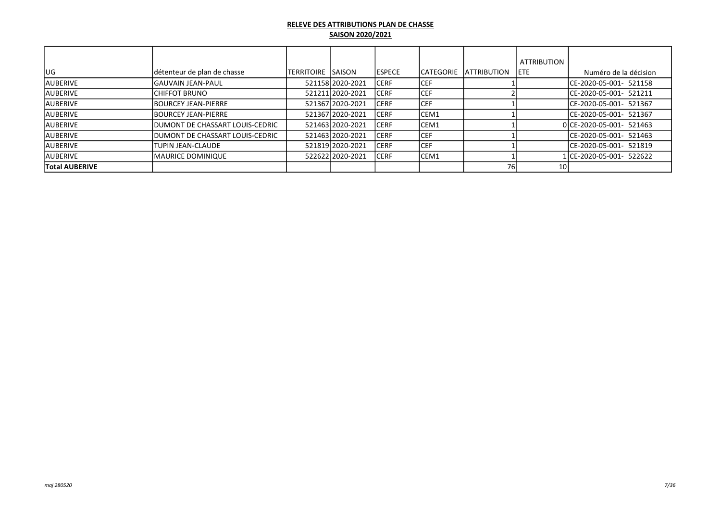|                       |                                  |                   |                  |                |             |                     | <b>ATTRIBUTION</b> |                          |
|-----------------------|----------------------------------|-------------------|------------------|----------------|-------------|---------------------|--------------------|--------------------------|
| lug                   | détenteur de plan de chasse      | TERRITOIRE SAISON |                  | <b>IESPECE</b> | ICATEGORIE  | <b>LATTRIBUTION</b> | <b>IETE</b>        | Numéro de la décision    |
| <b>AUBERIVE</b>       | lGAUVAIN JEAN-PAUL               |                   | 521158 2020-2021 | ICERF          | <b>ICEF</b> |                     |                    | ICE-2020-05-001- 521158  |
| lauberive             | ICHIFFOT BRUNO                   |                   | 52121112020-2021 | <b>CERF</b>    | ICEF.       |                     |                    | ICE-2020-05-001- 521211  |
| lauberive             | <b>IBOURCEY JEAN-PIERRE</b>      |                   | 521367 2020-2021 | <b>CERF</b>    | <b>CEF</b>  |                     |                    | ICE-2020-05-001- 521367  |
| lauberive             | <b>IBOURCEY JEAN-PIERRE</b>      |                   | 52136712020-2021 | <b>ICERF</b>   | ICEM1       |                     |                    | ICE-2020-05-001- 521367  |
| lauberive             | IDUMONT DE CHASSART LOUIS-CEDRIC |                   | 52146312020-2021 | <b>ICERF</b>   | ICEM1       |                     |                    | 0 CE-2020-05-001- 521463 |
| lauberive             | IDUMONT DE CHASSART LOUIS-CEDRIC |                   | 52146312020-2021 | <b>CERF</b>    | ICEF.       |                     |                    | ICE-2020-05-001- 521463  |
| lauberive             | <b>TUPIN JEAN-CLAUDE</b>         |                   | 521819 2020-2021 | <b>CERF</b>    | <b>CEF</b>  |                     |                    | ICE-2020-05-001- 521819  |
| lauberive             | IMAURICE DOMINIQUE               |                   | 52262212020-2021 | <b>CERF</b>    | ICEM1       |                     |                    | 1ICE-2020-05-001- 522622 |
| <b>Total AUBERIVE</b> |                                  |                   |                  |                |             | 76 I                | 10I                |                          |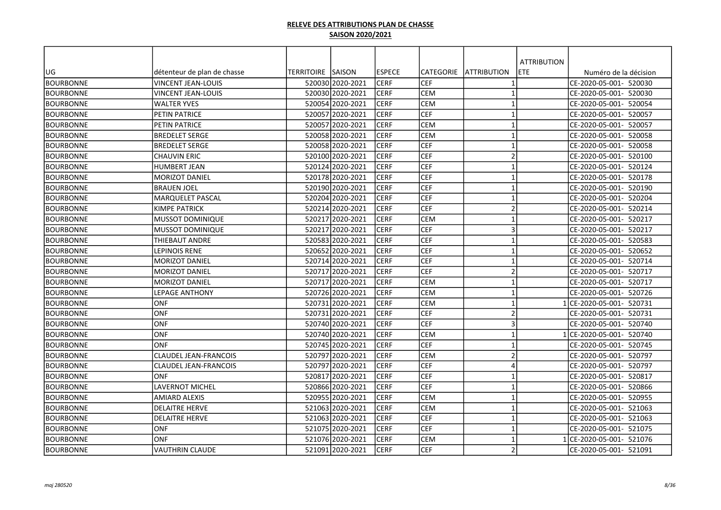|                  |                              |                   |                  |               |                  |                         | <b>ATTRIBUTION</b> |                          |
|------------------|------------------------------|-------------------|------------------|---------------|------------------|-------------------------|--------------------|--------------------------|
| UG               | détenteur de plan de chasse  | TERRITOIRE SAISON |                  | <b>ESPECE</b> | <b>CATEGORIE</b> | <b>ATTRIBUTION</b>      | ETE                | Numéro de la décision    |
| <b>BOURBONNE</b> | <b>VINCENT JEAN-LOUIS</b>    |                   | 520030 2020-2021 | <b>CERF</b>   | <b>CEF</b>       | $\mathbf{1}$            |                    | CE-2020-05-001- 520030   |
| <b>BOURBONNE</b> | <b>VINCENT JEAN-LOUIS</b>    |                   | 520030 2020-2021 | <b>CERF</b>   | <b>CEM</b>       | $\mathbf{1}$            |                    | CE-2020-05-001- 520030   |
| <b>BOURBONNE</b> | <b>WALTER YVES</b>           |                   | 520054 2020-2021 | <b>CERF</b>   | <b>CEM</b>       | $\overline{1}$          |                    | CE-2020-05-001- 520054   |
| BOURBONNE        | PETIN PATRICE                |                   | 520057 2020-2021 | <b>CERF</b>   | <b>CEF</b>       | $\mathbf{1}$            |                    | CE-2020-05-001- 520057   |
| <b>BOURBONNE</b> | PETIN PATRICE                |                   | 520057 2020-2021 | <b>CERF</b>   | <b>CEM</b>       | $\mathbf{1}$            |                    | CE-2020-05-001- 520057   |
| <b>BOURBONNE</b> | <b>BREDELET SERGE</b>        |                   | 520058 2020-2021 | <b>CERF</b>   | <b>CEM</b>       | $\mathbf{1}$            |                    | CE-2020-05-001- 520058   |
| <b>BOURBONNE</b> | <b>BREDELET SERGE</b>        |                   | 520058 2020-2021 | <b>CERF</b>   | <b>CEF</b>       | $\mathbf{1}$            |                    | CE-2020-05-001- 520058   |
| <b>BOURBONNE</b> | <b>CHAUVIN ERIC</b>          |                   | 520100 2020-2021 | <b>CERF</b>   | <b>CEF</b>       | $\overline{2}$          |                    | CE-2020-05-001- 520100   |
| <b>BOURBONNE</b> | <b>HUMBERT JEAN</b>          |                   | 520124 2020-2021 | <b>CERF</b>   | <b>CEF</b>       | $\mathbf{1}$            |                    | CE-2020-05-001- 520124   |
| <b>BOURBONNE</b> | MORIZOT DANIEL               |                   | 520178 2020-2021 | <b>CERF</b>   | <b>CEF</b>       | $\mathbf{1}$            |                    | CE-2020-05-001- 520178   |
| <b>BOURBONNE</b> | <b>BRAUEN JOEL</b>           |                   | 520190 2020-2021 | <b>CERF</b>   | <b>CEF</b>       | $\mathbf{1}$            |                    | CE-2020-05-001- 520190   |
| <b>BOURBONNE</b> | <b>MARQUELET PASCAL</b>      |                   | 520204 2020-2021 | <b>CERF</b>   | <b>CEF</b>       | $\overline{1}$          |                    | CE-2020-05-001- 520204   |
| <b>BOURBONNE</b> | <b>KIMPE PATRICK</b>         |                   | 520214 2020-2021 | <b>CERF</b>   | CEF              | $\overline{2}$          |                    | CE-2020-05-001- 520214   |
| <b>BOURBONNE</b> | <b>MUSSOT DOMINIQUE</b>      |                   | 520217 2020-2021 | CERF          | <b>CEM</b>       | $\mathbf{1}$            |                    | CE-2020-05-001- 520217   |
| <b>BOURBONNE</b> | <b>MUSSOT DOMINIQUE</b>      |                   | 520217 2020-2021 | CERF          | <b>CEF</b>       | $\overline{\mathbf{3}}$ |                    | CE-2020-05-001- 520217   |
| <b>BOURBONNE</b> | <b>THIEBAUT ANDRE</b>        |                   | 520583 2020-2021 | <b>CERF</b>   | <b>CEF</b>       | $\mathbf{1}$            |                    | CE-2020-05-001- 520583   |
| <b>BOURBONNE</b> | <b>LEPINOIS RENE</b>         |                   | 520652 2020-2021 | <b>CERF</b>   | <b>CEF</b>       | $\mathbf{1}$            |                    | CE-2020-05-001- 520652   |
| <b>BOURBONNE</b> | <b>MORIZOT DANIEL</b>        |                   | 520714 2020-2021 | <b>CERF</b>   | <b>CEF</b>       | $\mathbf{1}$            |                    | CE-2020-05-001- 520714   |
| <b>BOURBONNE</b> | MORIZOT DANIEL               |                   | 520717 2020-2021 | <b>CERF</b>   | <b>CEF</b>       | $\overline{2}$          |                    | CE-2020-05-001- 520717   |
| <b>BOURBONNE</b> | <b>MORIZOT DANIEL</b>        |                   | 520717 2020-2021 | <b>CERF</b>   | <b>CEM</b>       | $\mathbf{1}$            |                    | CE-2020-05-001- 520717   |
| <b>BOURBONNE</b> | LEPAGE ANTHONY               |                   | 520726 2020-2021 | <b>CERF</b>   | <b>CEM</b>       | $\mathbf{1}$            |                    | CE-2020-05-001- 520726   |
| <b>BOURBONNE</b> | ONF                          |                   | 520731 2020-2021 | <b>CERF</b>   | <b>CEM</b>       | $\mathbf{1}$            |                    | 1 CE-2020-05-001- 520731 |
| <b>BOURBONNE</b> | <b>ONF</b>                   |                   | 520731 2020-2021 | <b>CERF</b>   | <b>CEF</b>       | $\overline{2}$          |                    | CE-2020-05-001- 520731   |
| BOURBONNE        | ONF                          |                   | 520740 2020-2021 | <b>CERF</b>   | <b>CEF</b>       | $\overline{\mathbf{3}}$ |                    | CE-2020-05-001- 520740   |
| <b>BOURBONNE</b> | ONF                          |                   | 520740 2020-2021 | <b>CERF</b>   | <b>CEM</b>       | $\mathbf{1}$            |                    | 1 CE-2020-05-001- 520740 |
| <b>BOURBONNE</b> | ONF                          |                   | 520745 2020-2021 | <b>CERF</b>   | <b>CEF</b>       | $\mathbf{1}$            |                    | CE-2020-05-001- 520745   |
| <b>BOURBONNE</b> | <b>CLAUDEL JEAN-FRANCOIS</b> |                   | 520797 2020-2021 | <b>CERF</b>   | <b>CEM</b>       | $\overline{2}$          |                    | CE-2020-05-001- 520797   |
| <b>BOURBONNE</b> | CLAUDEL JEAN-FRANCOIS        |                   | 520797 2020-2021 | <b>CERF</b>   | <b>CEF</b>       | $\overline{4}$          |                    | CE-2020-05-001- 520797   |
| <b>BOURBONNE</b> | <b>ONF</b>                   |                   | 520817 2020-2021 | <b>CERF</b>   | <b>CEF</b>       | $\mathbf{1}$            |                    | CE-2020-05-001- 520817   |
| <b>BOURBONNE</b> | <b>LAVERNOT MICHEL</b>       |                   | 520866 2020-2021 | <b>CERF</b>   | <b>CEF</b>       | $\mathbf{1}$            |                    | CE-2020-05-001- 520866   |
| <b>BOURBONNE</b> | <b>AMIARD ALEXIS</b>         |                   | 52095512020-2021 | <b>CERF</b>   | <b>CEM</b>       | $\mathbf{1}$            |                    | CE-2020-05-001- 520955   |
| <b>BOURBONNE</b> | <b>DELAITRE HERVE</b>        |                   | 521063 2020-2021 | CERF          | <b>CEM</b>       | $\mathbf{1}$            |                    | CE-2020-05-001- 521063   |
| <b>BOURBONNE</b> | <b>DELAITRE HERVE</b>        |                   | 521063 2020-2021 | <b>CERF</b>   | <b>CEF</b>       | $\mathbf{1}$            |                    | CE-2020-05-001- 521063   |
| <b>BOURBONNE</b> | <b>ONF</b>                   |                   | 521075 2020-2021 | <b>CERF</b>   | <b>CEF</b>       | $\mathbf{1}$            |                    | CE-2020-05-001- 521075   |
| BOURBONNE        | <b>ONF</b>                   |                   | 521076 2020-2021 | <b>CERF</b>   | <b>CEM</b>       | $\mathbf{1}$            |                    | 1 CE-2020-05-001- 521076 |
| <b>BOURBONNE</b> | <b>VAUTHRIN CLAUDE</b>       |                   | 521091 2020-2021 | <b>CERF</b>   | <b>CEF</b>       | $\overline{2}$          |                    | CE-2020-05-001- 521091   |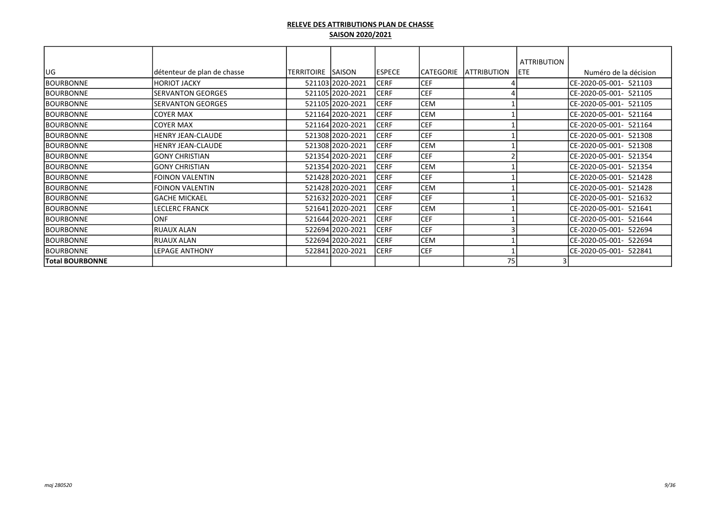|                        |                             |                   |                  |               |            |                    | <b>ATTRIBUTION</b> |                           |
|------------------------|-----------------------------|-------------------|------------------|---------------|------------|--------------------|--------------------|---------------------------|
| lug                    | détenteur de plan de chasse | TERRITOIRE SAISON |                  | <b>ESPECE</b> | CATEGORIE  | <b>ATTRIBUTION</b> | IETE.              | Numéro de la décision     |
| BOURBONNE              | HORIOT JACKY                |                   | 521103 2020-2021 | <b>CERF</b>   | <b>CEF</b> |                    |                    | CE-2020-05-001- 521103    |
| <b>BOURBONNE</b>       | <b>SERVANTON GEORGES</b>    |                   | 521105 2020-2021 | <b>CERF</b>   | <b>CEF</b> |                    |                    | CE-2020-05-001- 521105    |
| <b>BOURBONNE</b>       | <b>SERVANTON GEORGES</b>    |                   | 521105 2020-2021 | <b>CERF</b>   | CEM        |                    |                    | ICE-2020-05-001- 521105   |
| <b>BOURBONNE</b>       | ICOYER MAX                  |                   | 521164 2020-2021 | <b>CERF</b>   | <b>CEM</b> |                    |                    | CE-2020-05-001- 521164    |
| <b>BOURBONNE</b>       | <b>COYER MAX</b>            |                   | 521164 2020-2021 | <b>CERF</b>   | <b>CEF</b> |                    |                    | ICE-2020-05-001- 521164   |
| <b>BOURBONNE</b>       | IHENRY JEAN-CLAUDE          |                   | 521308 2020-2021 | <b>CERF</b>   | <b>CEF</b> |                    |                    | ICE-2020-05-001- 521308   |
| <b>BOURBONNE</b>       | HENRY JEAN-CLAUDE           |                   | 521308 2020-2021 | <b>CERF</b>   | <b>CEM</b> |                    |                    | ICE-2020-05-001- 521308   |
| <b>BOURBONNE</b>       | lGONY CHRISTIAN             |                   | 521354 2020-2021 | <b>CERF</b>   | <b>CEF</b> |                    |                    | CE-2020-05-001-<br>521354 |
| BOURBONNE              | lGONY CHRISTIAN             |                   | 521354 2020-2021 | <b>CERF</b>   | <b>CEM</b> |                    |                    | CE-2020-05-001- 521354    |
| <b>BOURBONNE</b>       | FOINON VALENTIN             |                   | 521428 2020-2021 | <b>CERF</b>   | <b>CEF</b> |                    |                    | CE-2020-05-001- 521428    |
| <b>BOURBONNE</b>       | <b>FOINON VALENTIN</b>      |                   | 521428 2020-2021 | <b>CERF</b>   | CEM        |                    |                    | ICE-2020-05-001- 521428   |
| <b>BOURBONNE</b>       | <b>GACHE MICKAEL</b>        |                   | 521632 2020-2021 | <b>CERF</b>   | <b>CEF</b> |                    |                    | CE-2020-05-001-<br>521632 |
| <b>BOURBONNE</b>       | <b>LECLERC FRANCK</b>       |                   | 521641 2020-2021 | <b>CERF</b>   | <b>CEM</b> |                    |                    | CE-2020-05-001-<br>521641 |
| <b>BOURBONNE</b>       | <b>ONF</b>                  |                   | 521644 2020-2021 | <b>CERF</b>   | <b>CEF</b> |                    |                    | CE-2020-05-001-<br>521644 |
| <b>BOURBONNE</b>       | IRUAUX ALAN                 |                   | 522694 2020-2021 | <b>CERF</b>   | <b>CEF</b> |                    |                    | CE-2020-05-001-<br>522694 |
| <b>BOURBONNE</b>       | RUAUX ALAN                  |                   | 522694 2020-2021 | <b>CERF</b>   | <b>CEM</b> |                    |                    | CE-2020-05-001-<br>522694 |
| <b>BOURBONNE</b>       | <b>LEPAGE ANTHONY</b>       |                   | 522841 2020-2021 | <b>CERF</b>   | <b>CEF</b> |                    |                    | CE-2020-05-001- 522841    |
| <b>Total BOURBONNE</b> |                             |                   |                  |               |            | 75                 |                    |                           |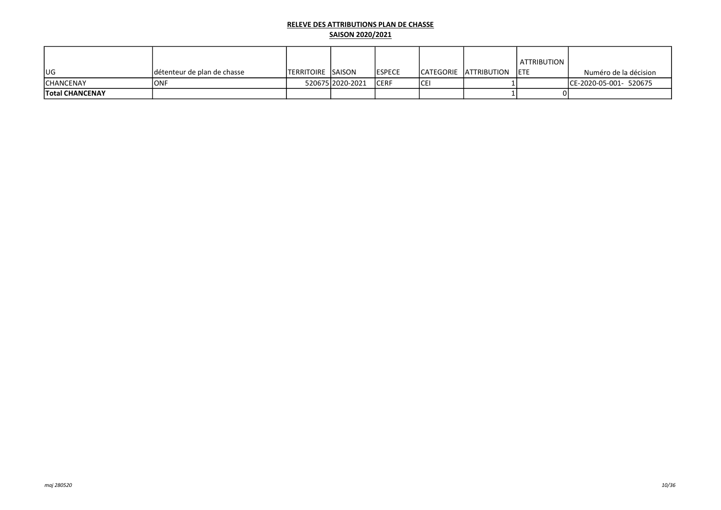|                        |                              |                            |                  |                |     |                              | I ATTRIBUTION |                         |
|------------------------|------------------------------|----------------------------|------------------|----------------|-----|------------------------------|---------------|-------------------------|
| lug                    | Idétenteur de plan de chasse | <b>ITERRITOIRE ISAISON</b> |                  | <b>IESPECE</b> |     | ICATEGORIE IATTRIBUTION IETE |               | Numéro de la décision   |
| <b>ICHANCENAY</b>      | IONF                         |                            | 52067512020-2021 | ICERF          | ICE |                              |               | ICE-2020-05-001- 520675 |
| <b>Total CHANCENAY</b> |                              |                            |                  |                |     |                              |               |                         |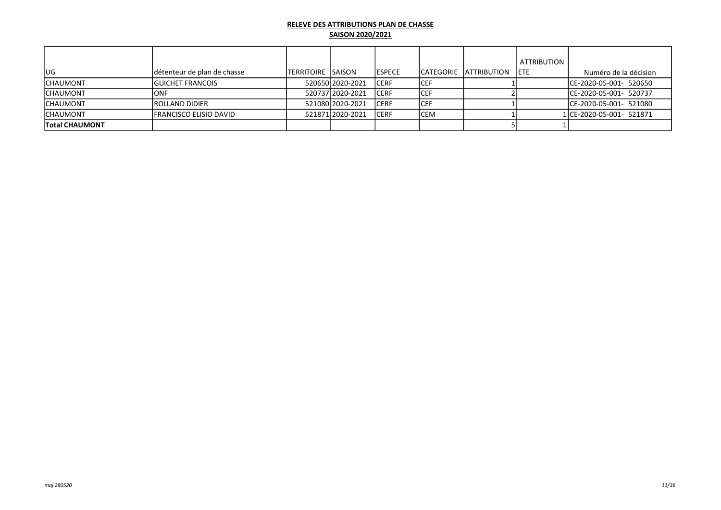|                       |                                |                            |                    |                |      |                                | <b>ATTRIBUTION</b> |                          |
|-----------------------|--------------------------------|----------------------------|--------------------|----------------|------|--------------------------------|--------------------|--------------------------|
| lug.                  | détenteur de plan de chasse    | <b>ITERRITOIRE ISAISON</b> |                    | <b>IESPECE</b> |      | <b>ICATEGORIE IATTRIBUTION</b> | <b>IETE</b>        | Numéro de la décision    |
| <b>ICHAUMONT</b>      | <b>IGUICHET FRANCOIS</b>       |                            | 52065012020-2021   | ICERF          | ICEF |                                |                    | ICE-2020-05-001- 520650  |
| <b>CHAUMONT</b>       | IONF                           |                            | 52073712020-2021   | ICERF          | ICEF |                                |                    | ICE-2020-05-001- 520737  |
| <b>ICHAUMONT</b>      | <b>IROLLAND DIDIER</b>         |                            | 521080 2020-2021   | ICERF          | ICEF |                                |                    | ICE-2020-05-001- 521080  |
| <b>ICHAUMONT</b>      | <b>IFRANCISCO ELISIO DAVID</b> |                            | 521871 2020 - 2021 | <b>ICERF</b>   | ICEM |                                |                    | 1 CE-2020-05-001- 521871 |
| <b>Total CHAUMONT</b> |                                |                            |                    |                |      |                                |                    |                          |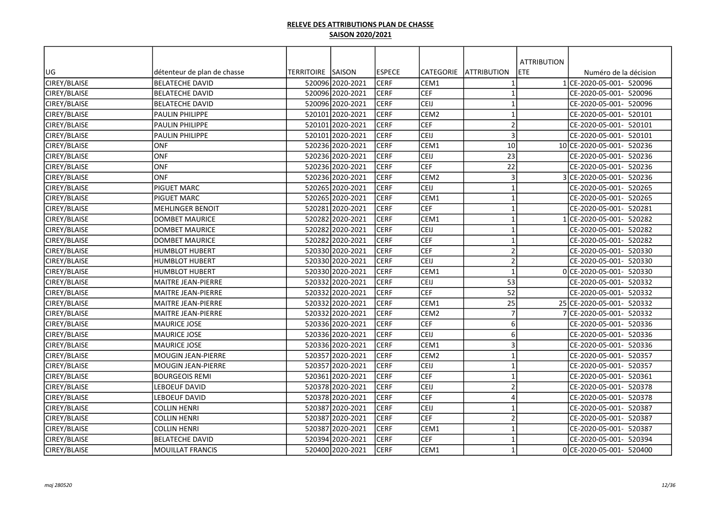|              |                             |                          |                  |               |                  |                         | <b>ATTRIBUTION</b> |                           |
|--------------|-----------------------------|--------------------------|------------------|---------------|------------------|-------------------------|--------------------|---------------------------|
| UG           | détenteur de plan de chasse | <b>TERRITOIRE SAISON</b> |                  | <b>ESPECE</b> | <b>CATEGORIE</b> | <b>JATTRIBUTION</b>     | ETE.               | Numéro de la décision     |
| CIREY/BLAISE | <b>BELATECHE DAVID</b>      |                          | 520096 2020-2021 | <b>CERF</b>   | CEM1             |                         |                    | 1 CE-2020-05-001- 520096  |
| CIREY/BLAISE | <b>BELATECHE DAVID</b>      |                          | 520096 2020-2021 | <b>CERF</b>   | lcef             | $\mathbf{1}$            |                    | CE-2020-05-001- 520096    |
| CIREY/BLAISE | <b>BELATECHE DAVID</b>      |                          | 520096 2020-2021 | <b>CERF</b>   | CEIJ             | $\overline{1}$          |                    | CE-2020-05-001- 520096    |
| CIREY/BLAISE | PAULIN PHILIPPE             |                          | 520101 2020-2021 | <b>CERF</b>   | CEM <sub>2</sub> | $\overline{1}$          |                    | CE-2020-05-001- 520101    |
| CIREY/BLAISE | PAULIN PHILIPPE             |                          | 520101 2020-2021 | <b>CERF</b>   | <b>CEF</b>       | $\overline{2}$          |                    | CE-2020-05-001- 520101    |
| CIREY/BLAISE | PAULIN PHILIPPE             |                          | 520101 2020-2021 | <b>CERF</b>   | CEIJ             | $\overline{\mathbf{3}}$ |                    | CE-2020-05-001- 520101    |
| CIREY/BLAISE | <b>ONF</b>                  |                          | 520236 2020-2021 | <b>CERF</b>   | CEM1             | 10                      |                    | 10 CE-2020-05-001- 520236 |
| CIREY/BLAISE | ONF                         |                          | 520236 2020-2021 | <b>CERF</b>   | CEIJ             | 23                      |                    | CE-2020-05-001- 520236    |
| CIREY/BLAISE | ONF                         |                          | 520236 2020-2021 | <b>CERF</b>   | <b>CEF</b>       | 22                      |                    | CE-2020-05-001- 520236    |
| CIREY/BLAISE | ONF                         |                          | 520236 2020-2021 | <b>CERF</b>   | CEM <sub>2</sub> | $\overline{\mathbf{3}}$ |                    | 3 CE-2020-05-001- 520236  |
| CIREY/BLAISE | PIGUET MARC                 |                          | 520265 2020-2021 | <b>CERF</b>   | <b>CEIJ</b>      | $\mathbf{1}$            |                    | CE-2020-05-001- 520265    |
| CIREY/BLAISE | PIGUET MARC                 |                          | 520265 2020-2021 | <b>CERF</b>   | CEM1             | $\mathbf{1}$            |                    | CE-2020-05-001- 520265    |
| CIREY/BLAISE | <b>MEHLINGER BENOIT</b>     |                          | 520281 2020-2021 | <b>CERF</b>   | <b>CEF</b>       | $\mathbf{1}$            |                    | CE-2020-05-001- 520281    |
| CIREY/BLAISE | <b>DOMBET MAURICE</b>       |                          | 520282 2020-2021 | <b>CERF</b>   | CEM1             | $\mathbf{1}$            |                    | 1 CE-2020-05-001- 520282  |
| CIREY/BLAISE | <b>DOMBET MAURICE</b>       |                          | 520282 2020-2021 | <b>CERF</b>   | CEIJ             | $\overline{1}$          |                    | CE-2020-05-001- 520282    |
| CIREY/BLAISE | <b>DOMBET MAURICE</b>       |                          | 520282 2020-2021 | <b>CERF</b>   | <b>CEF</b>       | $\mathbf{1}$            |                    | CE-2020-05-001- 520282    |
| CIREY/BLAISE | <b>HUMBLOT HUBERT</b>       |                          | 520330 2020-2021 | <b>CERF</b>   | <b>CEF</b>       | $\overline{2}$          |                    | CE-2020-05-001- 520330    |
| CIREY/BLAISE | HUMBLOT HUBERT              |                          | 520330 2020-2021 | <b>CERF</b>   | CEIJ             | $\overline{2}$          |                    | CE-2020-05-001- 520330    |
| CIREY/BLAISE | HUMBLOT HUBERT              |                          | 520330 2020-2021 | <b>CERF</b>   | CEM1             | $\mathbf{1}$            |                    | 0 CE-2020-05-001- 520330  |
| CIREY/BLAISE | MAITRE JEAN-PIERRE          |                          | 520332 2020-2021 | <b>CERF</b>   | CEIJ             | 53                      |                    | CE-2020-05-001- 520332    |
| CIREY/BLAISE | MAITRE JEAN-PIERRE          |                          | 520332 2020-2021 | <b>CERF</b>   | <b>CEF</b>       | 52                      |                    | CE-2020-05-001- 520332    |
| CIREY/BLAISE | <b>MAITRE JEAN-PIERRE</b>   |                          | 520332 2020-2021 | <b>CERF</b>   | CEM1             | 25                      |                    | 25 CE-2020-05-001- 520332 |
| CIREY/BLAISE | <b>MAITRE JEAN-PIERRE</b>   |                          | 520332 2020-2021 | <b>CERF</b>   | CEM <sub>2</sub> | $\overline{7}$          |                    | 7 CE-2020-05-001- 520332  |
| CIREY/BLAISE | <b>MAURICE JOSE</b>         |                          | 520336 2020-2021 | <b>CERF</b>   | <b>CEF</b>       | 6                       |                    | CE-2020-05-001- 520336    |
| CIREY/BLAISE | <b>MAURICE JOSE</b>         |                          | 520336 2020-2021 | <b>CERF</b>   | CEIJ             | 6                       |                    | CE-2020-05-001- 520336    |
| CIREY/BLAISE | <b>MAURICE JOSE</b>         |                          | 520336 2020-2021 | <b>CERF</b>   | CEM1             | $\overline{3}$          |                    | CE-2020-05-001- 520336    |
| CIREY/BLAISE | <b>MOUGIN JEAN-PIERRE</b>   |                          | 520357 2020-2021 | <b>CERF</b>   | CEM <sub>2</sub> | $\overline{1}$          |                    | CE-2020-05-001- 520357    |
| CIREY/BLAISE | <b>MOUGIN JEAN-PIERRE</b>   |                          | 520357 2020-2021 | <b>CERF</b>   | CEIJ             | $\overline{1}$          |                    | CE-2020-05-001- 520357    |
| CIREY/BLAISE | <b>BOURGEOIS REMI</b>       |                          | 520361 2020-2021 | <b>CERF</b>   | <b>CEF</b>       | $\mathbf{1}$            |                    | CE-2020-05-001- 520361    |
| CIREY/BLAISE | LEBOEUF DAVID               |                          | 520378 2020-2021 | <b>CERF</b>   | CEIJ             | $\overline{2}$          |                    | CE-2020-05-001- 520378    |
| CIREY/BLAISE | LEBOEUF DAVID               |                          | 520378 2020-2021 | <b>CERF</b>   | <b>CEF</b>       | $\overline{4}$          |                    | CE-2020-05-001- 520378    |
| CIREY/BLAISE | <b>COLLIN HENRI</b>         |                          | 520387 2020-2021 | <b>CERF</b>   | CEIJ             | $\mathbf{1}$            |                    | CE-2020-05-001- 520387    |
| CIREY/BLAISE | <b>COLLIN HENRI</b>         |                          | 520387 2020-2021 | <b>CERF</b>   | <b>CEF</b>       | $\overline{2}$          |                    | CE-2020-05-001- 520387    |
| CIREY/BLAISE | <b>COLLIN HENRI</b>         |                          | 520387 2020-2021 | <b>CERF</b>   | CEM1             | $\mathbf{1}$            |                    | CE-2020-05-001- 520387    |
| CIREY/BLAISE | <b>BELATECHE DAVID</b>      |                          | 520394 2020-2021 | <b>CERF</b>   | <b>CEF</b>       | $\mathbf{1}$            |                    | CE-2020-05-001- 520394    |
| CIREY/BLAISE | <b>MOUILLAT FRANCIS</b>     |                          | 520400 2020-2021 | <b>CERF</b>   | CEM1             | $\mathbf{1}$            |                    | 0 CE-2020-05-001- 520400  |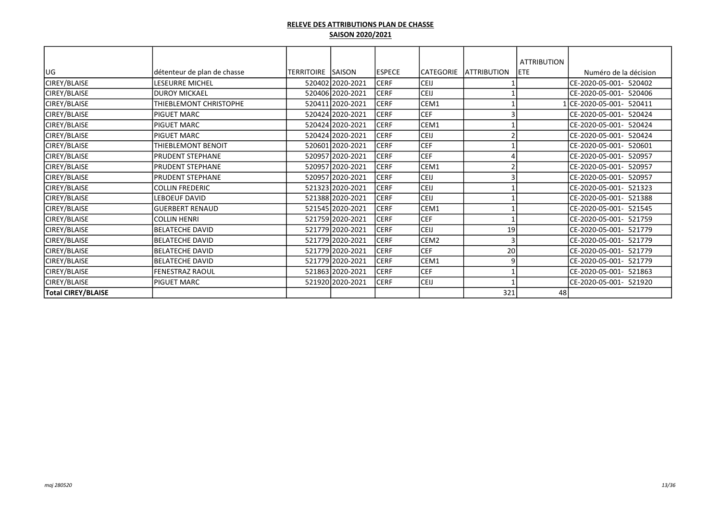|                           |                             |                   |                  |               |                  |                    | <b>ATTRIBUTION</b> |                            |
|---------------------------|-----------------------------|-------------------|------------------|---------------|------------------|--------------------|--------------------|----------------------------|
| lug                       | détenteur de plan de chasse | TERRITOIRE SAISON |                  | <b>ESPECE</b> | <b>CATEGORIE</b> | <b>ATTRIBUTION</b> | lete.              | Numéro de la décision      |
| CIREY/BLAISE              | LESEURRE MICHEL             |                   | 520402 2020-2021 | <b>CERF</b>   | <b>CEIJ</b>      |                    |                    | ICE-2020-05-001- 520402    |
| CIREY/BLAISE              | <b>DUROY MICKAEL</b>        |                   | 520406 2020-2021 | <b>CERF</b>   | CEIJ             |                    |                    | CE-2020-05-001- 520406     |
| CIREY/BLAISE              | THIEBLEMONT CHRISTOPHE      |                   | 520411 2020-2021 | <b>CERF</b>   | CEM1             |                    |                    | CE-2020-05-001- 520411     |
| CIREY/BLAISE              | <b>PIGUET MARC</b>          |                   | 520424 2020-2021 | <b>CERF</b>   | <b>CEF</b>       |                    |                    | CE-2020-05-001- 520424     |
| CIREY/BLAISE              | PIGUET MARC                 |                   | 520424 2020-2021 | <b>CERF</b>   | CEM1             |                    |                    | CE-2020-05-001- 520424     |
| CIREY/BLAISE              | <b>PIGUET MARC</b>          |                   | 520424 2020-2021 | <b>CERF</b>   | <b>CEIJ</b>      |                    |                    | ICE-2020-05-001-<br>520424 |
| CIREY/BLAISE              | THIEBLEMONT BENOIT          |                   | 520601 2020-2021 | <b>CERF</b>   | <b>CEF</b>       |                    |                    | ICE-2020-05-001-<br>520601 |
| CIREY/BLAISE              | <b>PRUDENT STEPHANE</b>     |                   | 520957 2020-2021 | <b>CERF</b>   | <b>CEF</b>       |                    |                    | CE-2020-05-001-<br>520957  |
| CIREY/BLAISE              | <b>PRUDENT STEPHANE</b>     |                   | 520957 2020-2021 | <b>CERF</b>   | CEM1             |                    |                    | CE-2020-05-001- 520957     |
| CIREY/BLAISE              | <b>PRUDENT STEPHANE</b>     |                   | 520957 2020-2021 | <b>CERF</b>   | CEIJ             |                    |                    | CE-2020-05-001- 520957     |
| CIREY/BLAISE              | <b>COLLIN FREDERIC</b>      |                   | 521323 2020-2021 | <b>CERF</b>   | CEIJ             |                    |                    | CE-2020-05-001- 521323     |
| CIREY/BLAISE              | <b>LEBOEUF DAVID</b>        |                   | 521388 2020-2021 | <b>CERF</b>   | <b>CEIJ</b>      |                    |                    | CE-2020-05-001- 521388     |
| CIREY/BLAISE              | IGUERBERT RENAUD            |                   | 521545 2020-2021 | <b>CERF</b>   | CEM1             |                    |                    | ICE-2020-05-001- 521545    |
| CIREY/BLAISE              | <b>COLLIN HENRI</b>         |                   | 521759 2020-2021 | <b>CERF</b>   | <b>CEF</b>       |                    |                    | CE-2020-05-001- 521759     |
| CIREY/BLAISE              | BELATECHE DAVID             |                   | 521779 2020-2021 | <b>CERF</b>   | CEIJ             | 19                 |                    | CE-2020-05-001- 521779     |
| CIREY/BLAISE              | IBELATECHE DAVID            |                   | 521779 2020-2021 | <b>CERF</b>   | CEM <sub>2</sub> | Α                  |                    | CE-2020-05-001- 521779     |
| CIREY/BLAISE              | <b>BELATECHE DAVID</b>      |                   | 521779 2020-2021 | <b>CERF</b>   | <b>CEF</b>       | 20                 |                    | CE-2020-05-001- 521779     |
| CIREY/BLAISE              | BELATECHE DAVID             |                   | 521779 2020-2021 | <b>CERF</b>   | CEM1             | 9                  |                    | ICE-2020-05-001- 521779    |
| CIREY/BLAISE              | FENESTRAZ RAOUL             |                   | 521863 2020-2021 | <b>CERF</b>   | <b>CEF</b>       |                    |                    | ICE-2020-05-001- 521863    |
| CIREY/BLAISE              | <b>PIGUET MARC</b>          |                   | 521920 2020-2021 | <b>CERF</b>   | <b>CEIJ</b>      |                    |                    | CE-2020-05-001- 521920     |
| <b>Total CIREY/BLAISE</b> |                             |                   |                  |               |                  | 321                | 48                 |                            |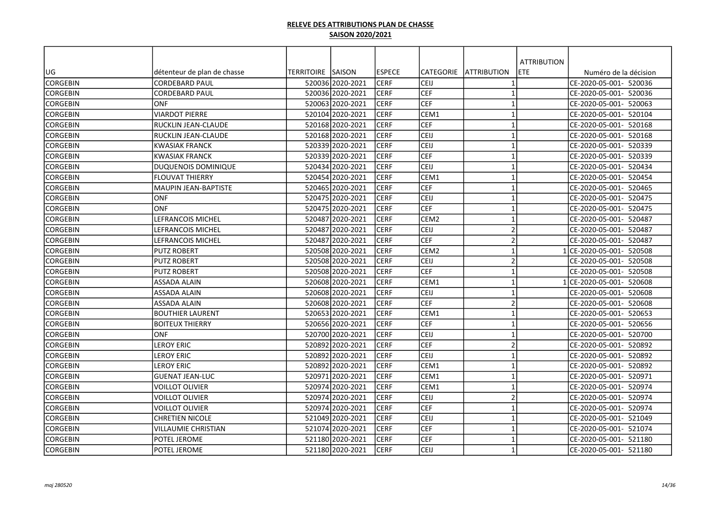| <b>ATTRIBUTION</b><br><b>ESPECE</b><br>UG<br>détenteur de plan de chasse<br>TERRITOIRE SAISON<br><b>CATEGORIE</b><br><b>ATTRIBUTION</b><br>ETE<br>Numéro de la décision<br><b>CERF</b><br><b>CORGEBIN</b><br>520036 2020-2021<br>CEIJ<br>CE-2020-05-001- 520036<br><b>CORDEBARD PAUL</b><br>$\mathbf{1}$<br><b>CERF</b><br>CEF<br><b>CORGEBIN</b><br>520036 2020-2021<br>$\mathbf{1}$<br>CE-2020-05-001- 520036<br><b>CORDEBARD PAUL</b> |  |
|------------------------------------------------------------------------------------------------------------------------------------------------------------------------------------------------------------------------------------------------------------------------------------------------------------------------------------------------------------------------------------------------------------------------------------------|--|
|                                                                                                                                                                                                                                                                                                                                                                                                                                          |  |
|                                                                                                                                                                                                                                                                                                                                                                                                                                          |  |
|                                                                                                                                                                                                                                                                                                                                                                                                                                          |  |
|                                                                                                                                                                                                                                                                                                                                                                                                                                          |  |
| CEF<br><b>CERF</b><br>$\mathbf{1}$<br>CE-2020-05-001- 520063<br><b>CORGEBIN</b><br><b>ONF</b><br>520063 2020-2021                                                                                                                                                                                                                                                                                                                        |  |
| CEM1<br><b>CORGEBIN</b><br>VIARDOT PIERRE<br>520104 2020-2021<br><b>CERF</b><br>$\mathbf{1}$<br>CE-2020-05-001- 520104                                                                                                                                                                                                                                                                                                                   |  |
| <b>CEF</b><br><b>CERF</b><br>$\mathbf{1}$<br><b>CORGEBIN</b><br>IRUCKLIN JEAN-CLAUDE<br>520168 2020-2021<br>CE-2020-05-001- 520168                                                                                                                                                                                                                                                                                                       |  |
| CEIJ<br>$\mathbf{1}$<br><b>CERF</b><br>CE-2020-05-001- 520168<br><b>CORGEBIN</b><br>IRUCKLIN JEAN-CLAUDE<br>520168 2020-2021                                                                                                                                                                                                                                                                                                             |  |
| <b>CERF</b><br>CEIJ<br>$\mathbf{1}$<br>CE-2020-05-001- 520339<br><b>CORGEBIN</b><br>KWASIAK FRANCK<br>520339 2020-2021                                                                                                                                                                                                                                                                                                                   |  |
| <b>CEF</b><br><b>CERF</b><br>520339 2020-2021<br>$\mathbf{1}$<br>CE-2020-05-001- 520339<br><b>CORGEBIN</b><br>İKWASIAK FRANCK                                                                                                                                                                                                                                                                                                            |  |
| <b>CERF</b><br>CEIJ<br>$\mathbf{1}$<br>CE-2020-05-001- 520434<br><b>CORGEBIN</b><br>DUQUENOIS DOMINIQUE<br>520434 2020-2021                                                                                                                                                                                                                                                                                                              |  |
| <b>CERF</b><br>CEM1<br><b>CORGEBIN</b><br>lflouvat thierry<br>520454 2020-2021<br>$\mathbf{1}$<br>CE-2020-05-001- 520454                                                                                                                                                                                                                                                                                                                 |  |
| CEF<br><b>CERF</b><br><b>CORGEBIN</b><br>520465 2020-2021<br>$\mathbf{1}$<br>CE-2020-05-001- 520465<br>İMAUPIN JEAN-BAPTISTE                                                                                                                                                                                                                                                                                                             |  |
| <b>CERF</b><br>CEIJ<br><b>CORGEBIN</b><br>lonf<br>520475 2020-2021<br>$\mathbf{1}$<br>CE-2020-05-001- 520475                                                                                                                                                                                                                                                                                                                             |  |
| <b>CEF</b><br><b>CERF</b><br><b>CORGEBIN</b><br><b>ONF</b><br>520475 2020-2021<br>$\mathbf{1}$<br>CE-2020-05-001- 520475                                                                                                                                                                                                                                                                                                                 |  |
| LEFRANCOIS MICHEL<br><b>CERF</b><br>CEM <sub>2</sub><br><b>CORGEBIN</b><br>520487 2020-2021<br>$\mathbf{1}$<br>CE-2020-05-001- 520487                                                                                                                                                                                                                                                                                                    |  |
| CEIJ<br>$\overline{2}$<br><b>CORGEBIN</b><br>520487 2020-2021<br><b>CERF</b><br>LEFRANCOIS MICHEL<br>CE-2020-05-001- 520487                                                                                                                                                                                                                                                                                                              |  |
| <b>CEF</b><br><b>CERF</b><br>$\overline{2}$<br><b>CORGEBIN</b><br><b>LEFRANCOIS MICHEL</b><br>520487 2020-2021<br>CE-2020-05-001- 520487                                                                                                                                                                                                                                                                                                 |  |
| CEM <sub>2</sub><br><b>CERF</b><br>$\mathbf{1}$<br><b>CORGEBIN</b><br><b>PUTZ ROBERT</b><br>520508 2020-2021<br>ICE-2020-05-001- 520508                                                                                                                                                                                                                                                                                                  |  |
| $\overline{2}$<br><b>CERF</b><br>CEIJ<br><b>CORGEBIN</b><br>PUTZ ROBERT<br>520508 2020-2021<br>CE-2020-05-001- 520508                                                                                                                                                                                                                                                                                                                    |  |
| <b>CEF</b><br><b>CERF</b><br>520508 2020-2021<br>$\mathbf{1}$<br>CE-2020-05-001- 520508<br><b>CORGEBIN</b><br><b>PUTZ ROBERT</b>                                                                                                                                                                                                                                                                                                         |  |
| <b>CERF</b><br>CEM1<br>$\mathbf{1}$<br>520608 2020-2021<br>1 CE-2020-05-001- 520608<br><b>CORGEBIN</b><br>ASSADA ALAIN                                                                                                                                                                                                                                                                                                                   |  |
| <b>CERF</b><br>CEIJ<br><b>CORGEBIN</b><br>520608 2020-2021<br>$\mathbf{1}$<br>CE-2020-05-001- 520608<br><b>ASSADA ALAIN</b>                                                                                                                                                                                                                                                                                                              |  |
| <b>CEF</b><br><b>CERF</b><br>$\overline{2}$<br><b>CORGEBIN</b><br><b>ASSADA ALAIN</b><br>520608 2020-2021<br>CE-2020-05-001- 520608                                                                                                                                                                                                                                                                                                      |  |
| <b>CERF</b><br>CEM1<br>$\overline{1}$<br><b>CORGEBIN</b><br>52065312020-2021<br>CE-2020-05-001- 520653<br>IBOUTHIER LAURENT                                                                                                                                                                                                                                                                                                              |  |
| CERF<br>CEF<br>CE-2020-05-001- 520656<br><b>CORGEBIN</b><br><b>BOITEUX THIERRY</b><br>520656 2020-2021<br>$\mathbf{1}$                                                                                                                                                                                                                                                                                                                   |  |
| <b>CERF</b><br>CEIJ<br><b>CORGEBIN</b><br><b>ONF</b><br>520700 2020-2021<br>$\mathbf{1}$<br>CE-2020-05-001- 520700                                                                                                                                                                                                                                                                                                                       |  |
| <b>CEF</b><br>$\overline{2}$<br><b>CORGEBIN</b><br>520892 2020-2021<br><b>CERF</b><br><b>LEROY ERIC</b><br>CE-2020-05-001- 520892                                                                                                                                                                                                                                                                                                        |  |
| CEIJ<br><b>CORGEBIN</b><br>520892 2020-2021<br><b>CERF</b><br>$\mathbf{1}$<br>CE-2020-05-001- 520892<br>LEROY ERIC                                                                                                                                                                                                                                                                                                                       |  |
| <b>CERF</b><br>CEM1<br>$\mathbf{1}$<br>CE-2020-05-001- 520892<br><b>CORGEBIN</b><br>LEROY ERIC<br>520892 2020-2021                                                                                                                                                                                                                                                                                                                       |  |
| <b>CERF</b><br>CEM1<br>$\mathbf{1}$<br><b>CORGEBIN</b><br><b>GUENAT JEAN-LUC</b><br>520971<br>2020-2021 <br>CE-2020-05-001- 520971                                                                                                                                                                                                                                                                                                       |  |
| <b>CERF</b><br>CEM1<br>520974 2020-2021<br>$\mathbf{1}$<br><b>CORGEBIN</b><br>VOILLOT OLIVIER<br>CE-2020-05-001- 520974                                                                                                                                                                                                                                                                                                                  |  |
| $\overline{2}$<br><b>CERF</b><br>CEIJ<br>CE-2020-05-001- 520974<br><b>CORGEBIN</b><br>VOILLOT OLIVIER<br>520974 2020-2021                                                                                                                                                                                                                                                                                                                |  |
| <b>CEF</b><br><b>CERF</b><br>$\mathbf{1}$<br><b>CORGEBIN</b><br>520974 2020-2021<br>CE-2020-05-001- 520974<br>VOILLOT OLIVIER                                                                                                                                                                                                                                                                                                            |  |
| <b>CERF</b><br>CEIJ<br><b>CORGEBIN</b><br><b>CHRETIEN NICOLE</b><br>521049 2020-2021<br>$\mathbf{1}$<br>CE-2020-05-001- 521049                                                                                                                                                                                                                                                                                                           |  |
| <b>CEF</b><br><b>CERF</b><br>$\mathbf{1}$<br>CE-2020-05-001- 521074<br><b>CORGEBIN</b><br>VILLAUMIE CHRISTIAN<br>521074 2020-2021                                                                                                                                                                                                                                                                                                        |  |
| <b>CERF</b><br><b>CEF</b><br>$\mathbf{1}$<br>CE-2020-05-001- 521180<br><b>CORGEBIN</b><br>POTEL JEROME<br>521180 2020-2021                                                                                                                                                                                                                                                                                                               |  |
| CEIJ<br>$\mathbf{1}$<br><b>CORGEBIN</b><br>521180 2020-2021<br><b>CERF</b><br>CE-2020-05-001- 521180<br>POTEL JEROME                                                                                                                                                                                                                                                                                                                     |  |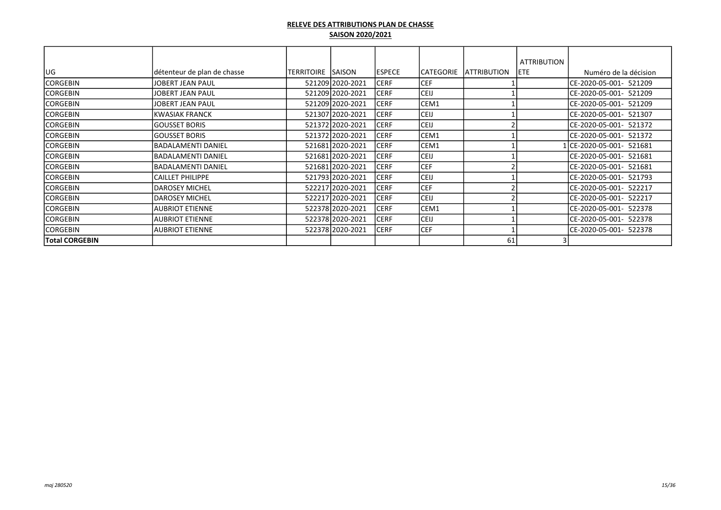| lug                   | détenteur de plan de chasse | TERRITOIRE SSAISON |                  | <b>ESPECE</b> | <b>CATEGORIE</b> | <b>ATTRIBUTION</b> | <b>ATTRIBUTION</b><br><b>IETE</b> | Numéro de la décision    |
|-----------------------|-----------------------------|--------------------|------------------|---------------|------------------|--------------------|-----------------------------------|--------------------------|
| <b>CORGEBIN</b>       | <b>JOBERT JEAN PAUL</b>     |                    | 521209 2020-2021 | <b>CERF</b>   | <b>CEF</b>       |                    |                                   | CE-2020-05-001- 521209   |
| <b>CORGEBIN</b>       | <b>JOBERT JEAN PAUL</b>     |                    | 521209 2020-2021 | <b>CERF</b>   | <b>CEIJ</b>      |                    |                                   | CE-2020-05-001- 521209   |
| <b>CORGEBIN</b>       | JOBERT JEAN PAUL            |                    | 521209 2020-2021 | <b>CERF</b>   | CEM1             |                    |                                   | CE-2020-05-001- 521209   |
| <b>CORGEBIN</b>       | <b>KWASIAK FRANCK</b>       |                    | 521307 2020-2021 | <b>CERF</b>   | <b>CEIJ</b>      |                    |                                   | ICE-2020-05-001- 521307  |
| <b>CORGEBIN</b>       | <b>GOUSSET BORIS</b>        |                    | 521372 2020-2021 | <b>CERF</b>   | <b>CEIJ</b>      |                    |                                   | CE-2020-05-001- 521372   |
| CORGEBIN              | <b>GOUSSET BORIS</b>        |                    | 521372 2020-2021 | <b>CERF</b>   | CEM1             |                    |                                   | ICE-2020-05-001- 521372  |
| CORGEBIN              | <b>BADALAMENTI DANIEL</b>   |                    | 521681 2020-2021 | <b>CERF</b>   | CEM1             |                    |                                   | 1lCE-2020-05-001- 521681 |
| <b>CORGEBIN</b>       | <b>BADALAMENTI DANIEL</b>   |                    | 521681 2020-2021 | ICERF         | <b>CEIJ</b>      |                    |                                   | ICE-2020-05-001- 521681  |
| <b>CORGEBIN</b>       | <b>BADALAMENTI DANIEL</b>   |                    | 521681 2020-2021 | ICERF         | <b>CEF</b>       |                    |                                   | ICE-2020-05-001- 521681  |
| <b>CORGEBIN</b>       | <b>CAILLET PHILIPPE</b>     |                    | 521793 2020-2021 | <b>CERF</b>   | <b>CEIJ</b>      |                    |                                   | CE-2020-05-001- 521793   |
| <b>CORGEBIN</b>       | <b>DAROSEY MICHEL</b>       |                    | 522217 2020-2021 | <b>CERF</b>   | <b>CEF</b>       |                    |                                   | CE-2020-05-001- 522217   |
| <b>CORGEBIN</b>       | <b>DAROSEY MICHEL</b>       |                    | 522217 2020-2021 | <b>CERF</b>   | <b>CEIJ</b>      |                    |                                   | ICE-2020-05-001- 522217  |
| <b>CORGEBIN</b>       | <b>AUBRIOT ETIENNE</b>      |                    | 522378 2020-2021 | <b>CERF</b>   | CEM1             |                    |                                   | CE-2020-05-001- 522378   |
| <b>CORGEBIN</b>       | <b>AUBRIOT ETIENNE</b>      |                    | 522378 2020-2021 | <b>CERF</b>   | <b>CEIJ</b>      |                    |                                   | CE-2020-05-001- 522378   |
| <b>CORGEBIN</b>       | <b>AUBRIOT ETIENNE</b>      |                    | 522378 2020-2021 | <b>CERF</b>   | <b>CEF</b>       |                    |                                   | CE-2020-05-001- 522378   |
| <b>Total CORGEBIN</b> |                             |                    |                  |               |                  | 61                 |                                   |                          |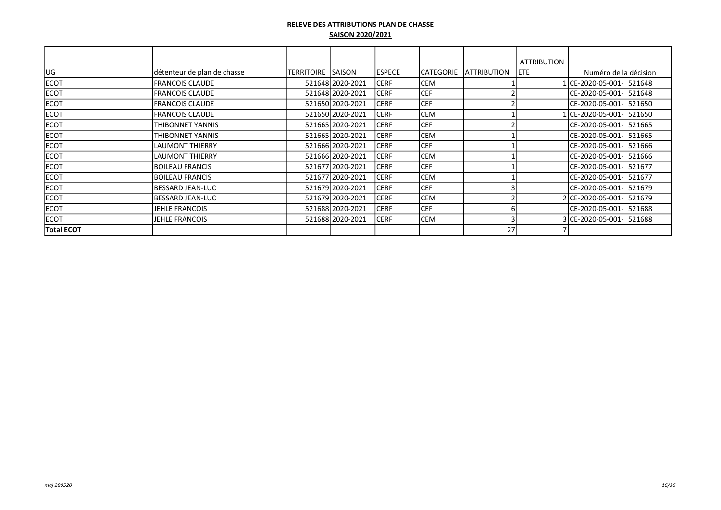|                   |                             |                   |                  |               |                  |                     | <b>ATTRIBUTION</b> |                          |
|-------------------|-----------------------------|-------------------|------------------|---------------|------------------|---------------------|--------------------|--------------------------|
| UG                | détenteur de plan de chasse | TERRITOIRE SAISON |                  | <b>ESPECE</b> | <b>CATEGORIE</b> | <b>IATTRIBUTION</b> | <b>IETE</b>        | Numéro de la décision    |
| <b>ECOT</b>       | <b>FRANCOIS CLAUDE</b>      |                   | 521648 2020-2021 | <b>CERF</b>   | <b>CEM</b>       |                     |                    | 1 CE-2020-05-001- 521648 |
| <b>ECOT</b>       | <b>FRANCOIS CLAUDE</b>      |                   | 521648 2020-2021 | <b>CERF</b>   | <b>CEF</b>       |                     |                    | CE-2020-05-001- 521648   |
| <b>ECOT</b>       | <b>FRANCOIS CLAUDE</b>      |                   | 521650 2020-2021 | <b>CERF</b>   | <b>CEF</b>       |                     |                    | CE-2020-05-001- 521650   |
| ECOT              | <b>FRANCOIS CLAUDE</b>      |                   | 521650 2020-2021 | <b>CERF</b>   | <b>CEM</b>       |                     |                    | 1 CE-2020-05-001- 521650 |
| <b>ECOT</b>       | THIBONNET YANNIS            |                   | 521665 2020-2021 | <b>CERF</b>   | CEF              |                     |                    | CE-2020-05-001- 521665   |
| <b>ECOT</b>       | THIBONNET YANNIS            |                   | 521665 2020-2021 | <b>CERF</b>   | <b>CEM</b>       |                     |                    | CE-2020-05-001- 521665   |
| <b>ECOT</b>       | <b>LAUMONT THIERRY</b>      |                   | 521666 2020-2021 | <b>CERF</b>   | <b>CEF</b>       |                     |                    | ICE-2020-05-001- 521666  |
| <b>ECOT</b>       | <b>LAUMONT THIERRY</b>      |                   | 521666 2020-2021 | <b>CERF</b>   | <b>CEM</b>       |                     |                    | CE-2020-05-001- 521666   |
| <b>ECOT</b>       | <b>BOILEAU FRANCIS</b>      |                   | 521677 2020-2021 | <b>CERF</b>   | CEF              |                     |                    | ICE-2020-05-001- 521677  |
| <b>ECOT</b>       | <b>BOILEAU FRANCIS</b>      |                   | 521677 2020-2021 | <b>CERF</b>   | <b>CEM</b>       |                     |                    | CE-2020-05-001- 521677   |
| <b>ECOT</b>       | IBESSARD JEAN-LUC           |                   | 521679 2020-2021 | <b>CERF</b>   | CEF              |                     |                    | ICE-2020-05-001- 521679  |
| <b>ECOT</b>       | IBESSARD JEAN-LUC           |                   | 521679 2020-2021 | <b>CERF</b>   | <b>CEM</b>       |                     |                    | 2CE-2020-05-001- 521679  |
| <b>ECOT</b>       | JEHLE FRANCOIS              |                   | 521688 2020-2021 | <b>CERF</b>   | CEF              |                     |                    | CE-2020-05-001- 521688   |
| <b>ECOT</b>       | JEHLE FRANCOIS              |                   | 521688 2020-2021 | <b>CERF</b>   | <b>CEM</b>       |                     |                    | 3 CE-2020-05-001- 521688 |
| <b>Total ECOT</b> |                             |                   |                  |               |                  | 27                  |                    |                          |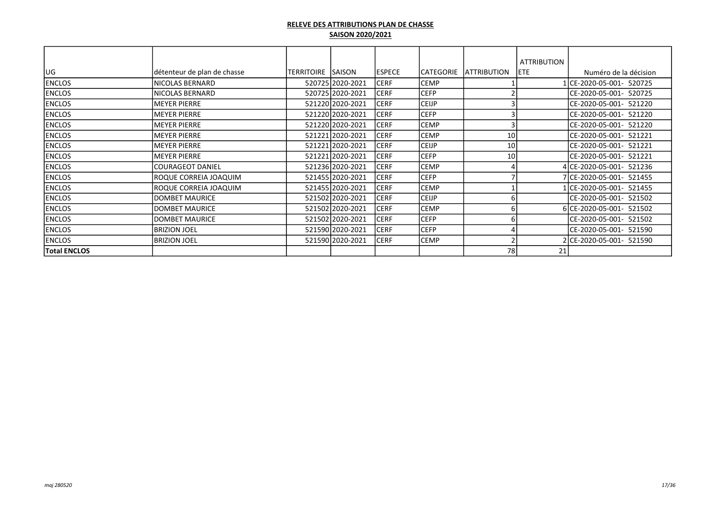|                     |                             |                   |                  |               |                  |                     | <b>ATTRIBUTION</b> |                          |
|---------------------|-----------------------------|-------------------|------------------|---------------|------------------|---------------------|--------------------|--------------------------|
| UG                  | détenteur de plan de chasse | TERRITOIRE SAISON |                  | <b>ESPECE</b> | <b>CATEGORIE</b> | <b>IATTRIBUTION</b> | <b>IETE</b>        | Numéro de la décision    |
| <b>ENCLOS</b>       | INICOLAS BERNARD            |                   | 520725 2020-2021 | <b>CERF</b>   | CEMP             |                     |                    | 1 CE-2020-05-001- 520725 |
| <b>ENCLOS</b>       | NICOLAS BERNARD             |                   | 520725 2020-2021 | <b>CERF</b>   | <b>CEFP</b>      |                     |                    | CE-2020-05-001- 520725   |
| <b>ENCLOS</b>       | IMEYER PIERRE               |                   | 521220 2020-2021 | <b>CERF</b>   | <b>CEIJP</b>     |                     |                    | ICE-2020-05-001- 521220  |
| <b>ENCLOS</b>       | IMEYER PIERRE               |                   | 521220 2020-2021 | <b>CERF</b>   | <b>CEFP</b>      |                     |                    | ICE-2020-05-001- 521220  |
| <b>ENCLOS</b>       | <b>IMEYER PIERRE</b>        |                   | 521220 2020-2021 | <b>CERF</b>   | CEMP             |                     |                    | ICE-2020-05-001- 521220  |
| <b>ENCLOS</b>       | IMEYER PIERRE               |                   | 521221 2020-2021 | <b>CERF</b>   | <b>CEMP</b>      | 10                  |                    | ICE-2020-05-001- 521221  |
| <b>ENCLOS</b>       | IMEYER PIERRE               |                   | 521221 2020-2021 | <b>CERF</b>   | <b>CEIJP</b>     | 10                  |                    | ICE-2020-05-001- 521221  |
| <b>ENCLOS</b>       | IMEYER PIERRE               |                   | 521221 2020-2021 | <b>CERF</b>   | <b>CEFP</b>      | 10                  |                    | CE-2020-05-001- 521221   |
| <b>ENCLOS</b>       | lCOURAGEOT DANIEL           |                   | 521236 2020-2021 | <b>CERF</b>   | <b>CEMP</b>      |                     |                    | 4 CE-2020-05-001- 521236 |
| <b>ENCLOS</b>       | ROQUE CORREIA JOAQUIM       |                   | 521455 2020-2021 | <b>CERF</b>   | <b>CEFP</b>      |                     |                    | 7 CE-2020-05-001- 521455 |
| <b>ENCLOS</b>       | ROQUE CORREIA JOAQUIM       |                   | 521455 2020-2021 | <b>CERF</b>   | <b>CEMP</b>      |                     |                    | 1CE-2020-05-001- 521455  |
| <b>ENCLOS</b>       | DOMBET MAURICE              |                   | 521502 2020-2021 | <b>CERF</b>   | <b>CEIJP</b>     |                     |                    | CE-2020-05-001- 521502   |
| <b>ENCLOS</b>       | DOMBET MAURICE              |                   | 521502 2020-2021 | <b>CERF</b>   | <b>CEMP</b>      |                     |                    | 6 CE-2020-05-001- 521502 |
| <b>ENCLOS</b>       | DOMBET MAURICE              |                   | 521502 2020-2021 | <b>CERF</b>   | <b>CEFP</b>      |                     |                    | CE-2020-05-001- 521502   |
| <b>ENCLOS</b>       | <b>BRIZION JOEL</b>         |                   | 521590 2020-2021 | <b>CERF</b>   | <b>CEFP</b>      |                     |                    | CE-2020-05-001- 521590   |
| <b>ENCLOS</b>       | <b>BRIZION JOEL</b>         |                   | 521590 2020-2021 | <b>CERF</b>   | CEMP             |                     |                    | 2CE-2020-05-001- 521590  |
| <b>Total ENCLOS</b> |                             |                   |                  |               |                  | 78                  | 21                 |                          |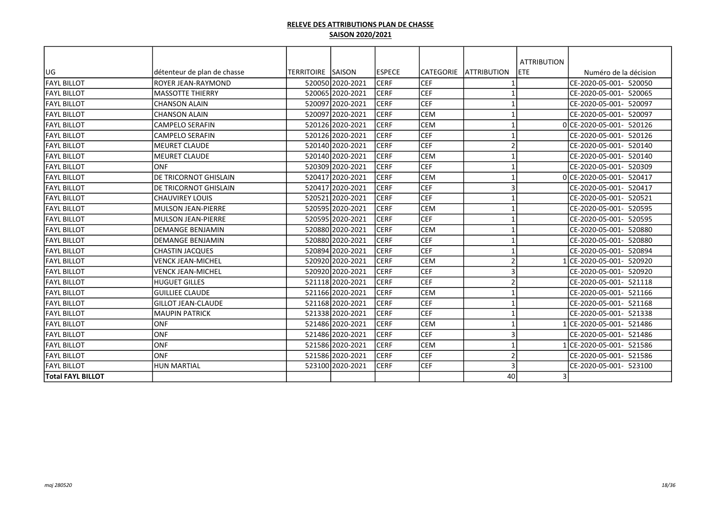|                          |                             |                          |                  |               |            |                         | <b>ATTRIBUTION</b> |                          |
|--------------------------|-----------------------------|--------------------------|------------------|---------------|------------|-------------------------|--------------------|--------------------------|
| UG                       | détenteur de plan de chasse | <b>TERRITOIRE SAISON</b> |                  | <b>ESPECE</b> | CATEGORIE  | <b>ATTRIBUTION</b>      | <b>ETE</b>         | Numéro de la décision    |
| IFAYL BILLOT             | ROYER JEAN-RAYMOND          |                          | 520050 2020-2021 | <b>CERF</b>   | <b>CEF</b> |                         |                    | CE-2020-05-001- 520050   |
| <b>FAYL BILLOT</b>       | <b>MASSOTTE THIERRY</b>     |                          | 520065 2020-2021 | <b>CERF</b>   | <b>CEF</b> |                         |                    | ICE-2020-05-001- 520065  |
| <b>FAYL BILLOT</b>       | <b>CHANSON ALAIN</b>        |                          | 520097 2020-2021 | <b>CERF</b>   | <b>CEF</b> | -1                      |                    | CE-2020-05-001- 520097   |
| FAYL BILLOT              | <b>CHANSON ALAIN</b>        |                          | 520097 2020-2021 | <b>CERF</b>   | <b>CEM</b> | $\overline{\mathbf{1}}$ |                    | ICE-2020-05-001- 520097  |
| <b>FAYL BILLOT</b>       | <b>CAMPELO SERAFIN</b>      |                          | 520126 2020-2021 | <b>CERF</b>   | <b>CEM</b> | -1                      |                    | 0 CE-2020-05-001- 520126 |
| <b>FAYL BILLOT</b>       | <b>CAMPELO SERAFIN</b>      |                          | 520126 2020-2021 | <b>CERF</b>   | <b>CEF</b> | $\overline{\mathbf{1}}$ |                    | CE-2020-05-001- 520126   |
| <b>FAYL BILLOT</b>       | <b>MEURET CLAUDE</b>        |                          | 520140 2020-2021 | <b>CERF</b>   | <b>CEF</b> | $\mathcal{I}$           |                    | ICE-2020-05-001- 520140  |
| <b>FAYL BILLOT</b>       | <b>MEURET CLAUDE</b>        |                          | 520140 2020-2021 | <b>CERF</b>   | <b>CEM</b> |                         |                    | CE-2020-05-001- 520140   |
| <b>FAYL BILLOT</b>       | <b>ONF</b>                  |                          | 520309 2020-2021 | <b>CERF</b>   | <b>CEF</b> | $\overline{\mathbf{1}}$ |                    | ICE-2020-05-001- 520309  |
| <b>FAYL BILLOT</b>       | DE TRICORNOT GHISLAIN       |                          | 520417 2020-2021 | <b>CERF</b>   | CEM        | $\overline{\mathbf{1}}$ |                    | 0 CE-2020-05-001- 520417 |
| <b>FAYL BILLOT</b>       | DE TRICORNOT GHISLAIN       |                          | 520417 2020-2021 | <b>CERF</b>   | <b>CEF</b> | 3                       |                    | ICE-2020-05-001- 520417  |
| <b>FAYL BILLOT</b>       | ICHAUVIREY LOUIS            |                          | 520521 2020-2021 | <b>CERF</b>   | <b>CEF</b> | $\mathbf 1$             |                    | ICE-2020-05-001- 520521  |
| <b>FAYL BILLOT</b>       | MULSON JEAN-PIERRE          |                          | 520595 2020-2021 | <b>CERF</b>   | CEM        | $\overline{\mathbf{1}}$ |                    | CE-2020-05-001- 520595   |
| <b>FAYL BILLOT</b>       | MULSON JEAN-PIERRE          |                          | 520595 2020-2021 | <b>CERF</b>   | <b>CEF</b> |                         |                    | ICE-2020-05-001- 520595  |
| <b>FAYL BILLOT</b>       | <b>DEMANGE BENJAMIN</b>     |                          | 520880 2020-2021 | <b>CERF</b>   | <b>CEM</b> | $\mathbf{1}$            |                    | ICE-2020-05-001- 520880  |
| <b>FAYL BILLOT</b>       | DEMANGE BENJAMIN            |                          | 520880 2020-2021 | <b>CERF</b>   | <b>CEF</b> | $\mathbf 1$             |                    | ICE-2020-05-001- 520880  |
| <b>FAYL BILLOT</b>       | <b>CHASTIN JACQUES</b>      |                          | 520894 2020-2021 | <b>CERF</b>   | <b>CEF</b> | -1                      |                    | ICE-2020-05-001- 520894  |
| <b>FAYL BILLOT</b>       | <b>VENCK JEAN-MICHEL</b>    |                          | 520920 2020-2021 | <b>CERF</b>   | CEM        | $\overline{2}$          |                    | 1 CE-2020-05-001- 520920 |
| <b>FAYL BILLOT</b>       | <b>VENCK JEAN-MICHEL</b>    |                          | 520920 2020-2021 | <b>CERF</b>   | <b>CEF</b> | 3                       |                    | ICE-2020-05-001- 520920  |
| <b>FAYL BILLOT</b>       | <b>HUGUET GILLES</b>        |                          | 521118 2020-2021 | <b>CERF</b>   | <b>CEF</b> | $\overline{a}$          |                    | CE-2020-05-001- 521118   |
| <b>FAYL BILLOT</b>       | <b>GUILLIEE CLAUDE</b>      |                          | 521166 2020-2021 | <b>CERF</b>   | <b>CEM</b> | $\mathbf 1$             |                    | ICE-2020-05-001- 521166  |
| <b>FAYL BILLOT</b>       | <b>GILLOT JEAN-CLAUDE</b>   |                          | 521168 2020-2021 | <b>CERF</b>   | <b>CEF</b> | $\mathbf 1$             |                    | ICE-2020-05-001- 521168  |
| <b>FAYL BILLOT</b>       | <b>MAUPIN PATRICK</b>       |                          | 521338 2020-2021 | <b>CERF</b>   | <b>CEF</b> | $\overline{1}$          |                    | CE-2020-05-001- 521338   |
| <b>FAYL BILLOT</b>       | <b>ONF</b>                  |                          | 521486 2020-2021 | <b>CERF</b>   | <b>CEM</b> | $\mathbf 1$             |                    | 1 CE-2020-05-001- 521486 |
| <b>FAYL BILLOT</b>       | <b>ONF</b>                  |                          | 521486 2020-2021 | <b>CERF</b>   | <b>CEF</b> | 3                       |                    | CE-2020-05-001- 521486   |
| <b>FAYL BILLOT</b>       | <b>ONF</b>                  |                          | 521586 2020-2021 | <b>CERF</b>   | <b>CEM</b> | $\overline{1}$          |                    | 1 CE-2020-05-001- 521586 |
| <b>FAYL BILLOT</b>       | <b>ONF</b>                  |                          | 521586 2020-2021 | <b>CERF</b>   | <b>CEF</b> | $\overline{2}$          |                    | CE-2020-05-001- 521586   |
| <b>FAYL BILLOT</b>       | <b>HUN MARTIAL</b>          |                          | 523100 2020-2021 | <b>CERF</b>   | <b>CEF</b> | 3                       |                    | CE-2020-05-001- 523100   |
| <b>Total FAYL BILLOT</b> |                             |                          |                  |               |            | 40                      |                    |                          |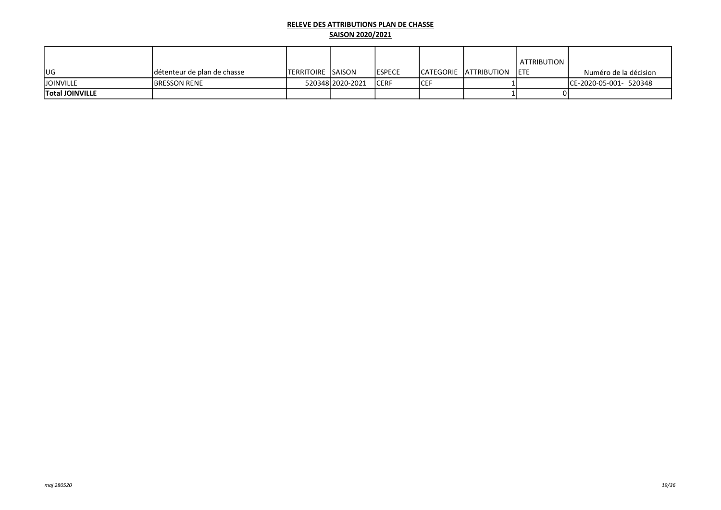|                        |                             |                            |                  |                |      |                              | ATTRIBUTION |                         |
|------------------------|-----------------------------|----------------------------|------------------|----------------|------|------------------------------|-------------|-------------------------|
| lug                    | détenteur de plan de chasse | <b>ITERRITOIRE ISAISON</b> |                  | <b>IESPECE</b> |      | ICATEGORIE IATTRIBUTION IETE |             | Numéro de la décision   |
| <b>JOINVILLE</b>       | <b>IBRESSON RENE</b>        |                            | 52034812020-2021 | <b>ICERF</b>   | ICEF |                              |             | ICE-2020-05-001- 520348 |
| <b>Total JOINVILLE</b> |                             |                            |                  |                |      |                              |             |                         |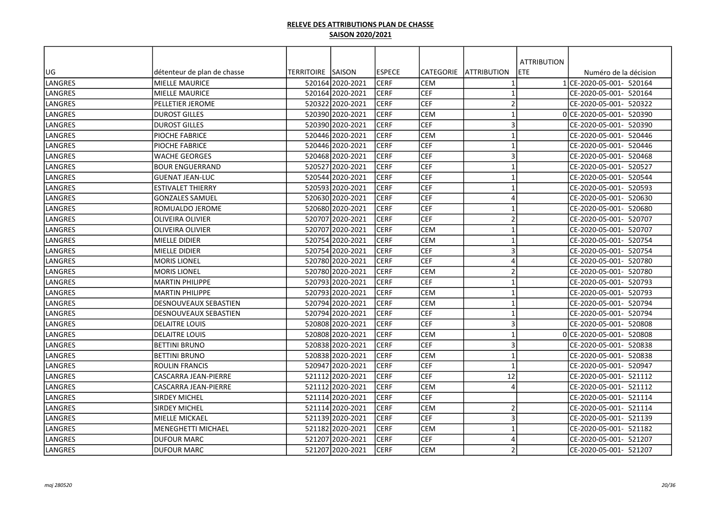|                |                              |                   |                  |               |                  |                         | <b>ATTRIBUTION</b> |                          |
|----------------|------------------------------|-------------------|------------------|---------------|------------------|-------------------------|--------------------|--------------------------|
| lug            | détenteur de plan de chasse  | TERRITOIRE SAISON |                  | <b>ESPECE</b> | <b>CATEGORIE</b> | <b>ATTRIBUTION</b>      | ETE.               | Numéro de la décision    |
| LANGRES        | <b>MIELLE MAURICE</b>        |                   | 520164 2020-2021 | <b>CERF</b>   | <b>CEM</b>       |                         |                    | 1 CE-2020-05-001- 520164 |
| LANGRES        | <b>MIELLE MAURICE</b>        |                   | 520164 2020-2021 | <b>CERF</b>   | <b>CEF</b>       | $\overline{1}$          |                    | CE-2020-05-001- 520164   |
| <b>LANGRES</b> | PELLETIER JEROME             |                   | 520322 2020-2021 | <b>CERF</b>   | <b>CEF</b>       | $\overline{2}$          |                    | CE-2020-05-001- 520322   |
| <b>LANGRES</b> | <b>DUROST GILLES</b>         |                   | 520390 2020-2021 | <b>CERF</b>   | <b>CEM</b>       | $\mathbf{1}$            |                    | 0 CE-2020-05-001- 520390 |
| <b>LANGRES</b> | <b>DUROST GILLES</b>         |                   | 520390 2020-2021 | <b>CERF</b>   | <b>CEF</b>       | 3                       |                    | CE-2020-05-001- 520390   |
| LANGRES        | PIOCHE FABRICE               |                   | 520446 2020-2021 | <b>CERF</b>   | <b>CEM</b>       | $\mathbf{1}$            |                    | CE-2020-05-001- 520446   |
| LANGRES        | PIOCHE FABRICE               |                   | 520446 2020-2021 | <b>CERF</b>   | <b>CEF</b>       | $\mathbf{1}$            |                    | CE-2020-05-001- 520446   |
| LANGRES        | <b>WACHE GEORGES</b>         |                   | 520468 2020-2021 | <b>CERF</b>   | CEF              | $\overline{3}$          |                    | CE-2020-05-001- 520468   |
| LANGRES        | <b>BOUR ENGUERRAND</b>       |                   | 52052712020-2021 | <b>CERF</b>   | CEF              | $\overline{1}$          |                    | CE-2020-05-001- 520527   |
| LANGRES        | <b>GUENAT JEAN-LUC</b>       |                   | 520544 2020-2021 | <b>CERF</b>   | CEF              | $\mathbf{1}$            |                    | CE-2020-05-001- 520544   |
| LANGRES        | <b>ESTIVALET THIERRY</b>     |                   | 520593 2020-2021 | <b>CERF</b>   | CEF              | $\mathbf{1}$            |                    | CE-2020-05-001- 520593   |
| LANGRES        | <b>GONZALES SAMUEL</b>       |                   | 520630 2020-2021 | <b>CERF</b>   | <b>CEF</b>       | $\overline{4}$          |                    | CE-2020-05-001- 520630   |
| LANGRES        | ROMUALDO JEROME              |                   | 520680 2020-2021 | <b>CERF</b>   | <b>CEF</b>       | $\mathbf{1}$            |                    | CE-2020-05-001- 520680   |
| <b>LANGRES</b> | <b>OLIVEIRA OLIVIER</b>      |                   | 520707 2020-2021 | <b>CERF</b>   | <b>CEF</b>       | $\overline{2}$          |                    | CE-2020-05-001- 520707   |
| <b>LANGRES</b> | <b>OLIVEIRA OLIVIER</b>      |                   | 520707 2020-2021 | <b>CERF</b>   | <b>CEM</b>       | $\mathbf{1}$            |                    | CE-2020-05-001- 520707   |
| <b>LANGRES</b> | MIELLE DIDIER                |                   | 520754 2020-2021 | <b>CERF</b>   | <b>CEM</b>       | $\mathbf 1$             |                    | CE-2020-05-001- 520754   |
| <b>LANGRES</b> | MIELLE DIDIER                |                   | 52075412020-2021 | <b>CERF</b>   | CEF              | $\overline{3}$          |                    | CE-2020-05-001- 520754   |
| LANGRES        | <b>MORIS LIONEL</b>          |                   | 520780 2020-2021 | <b>CERF</b>   | CEF              | $\overline{4}$          |                    | CE-2020-05-001- 520780   |
| LANGRES        | <b>MORIS LIONEL</b>          |                   | 520780 2020-2021 | <b>CERF</b>   | <b>CEM</b>       | $\overline{2}$          |                    | CE-2020-05-001- 520780   |
| LANGRES        | <b>MARTIN PHILIPPE</b>       |                   | 520793 2020-2021 | <b>CERF</b>   | CEF              | $\overline{1}$          |                    | CE-2020-05-001- 520793   |
| LANGRES        | <b>MARTIN PHILIPPE</b>       |                   | 520793 2020-2021 | <b>CERF</b>   | <b>CEM</b>       | $\mathbf{1}$            |                    | CE-2020-05-001- 520793   |
| LANGRES        | <b>DESNOUVEAUX SEBASTIEN</b> |                   | 520794 2020-2021 | <b>CERF</b>   | <b>CEM</b>       | $\mathbf{1}$            |                    | CE-2020-05-001- 520794   |
| llangres       | <b>DESNOUVEAUX SEBASTIEN</b> |                   | 52079412020-2021 | <b>CERF</b>   | lcef             | $\overline{1}$          |                    | CE-2020-05-001- 520794   |
| LANGRES        | <b>DELAITRE LOUIS</b>        |                   | 520808 2020-2021 | <b>CERF</b>   | <b>CEF</b>       | $\overline{\mathbf{3}}$ |                    | CE-2020-05-001- 520808   |
| LANGRES        | IDELAITRE LOUIS              |                   | 520808 2020-2021 | <b>CERF</b>   | <b>CEM</b>       | $\mathbf{1}$            |                    | 0 CE-2020-05-001- 520808 |
| <b>LANGRES</b> | <b>BETTINI BRUNO</b>         |                   | 520838 2020-2021 | <b>CERF</b>   | <b>CEF</b>       | 3                       |                    | CE-2020-05-001- 520838   |
| <b>LANGRES</b> | <b>BETTINI BRUNO</b>         |                   | 520838 2020-2021 | <b>CERF</b>   | <b>CEM</b>       | $\mathbf{1}$            |                    | CE-2020-05-001- 520838   |
| <b>LANGRES</b> | <b>ROULIN FRANCIS</b>        |                   | 520947 2020-2021 | <b>CERF</b>   | <b>CEF</b>       | $\mathbf{1}$            |                    | CE-2020-05-001- 520947   |
| LANGRES        | CASCARRA JEAN-PIERRE         |                   | 521112 2020-2021 | <b>CERF</b>   | CEF              | 12                      |                    | CE-2020-05-001- 521112   |
| LANGRES        | CASCARRA JEAN-PIERRE         |                   | 521112 2020-2021 | <b>CERF</b>   | <b>CEM</b>       | $\overline{4}$          |                    | CE-2020-05-001- 521112   |
| LANGRES        | <b>SIRDEY MICHEL</b>         |                   | 521114 2020-2021 | <b>CERF</b>   | CEF              |                         |                    | CE-2020-05-001- 521114   |
| LANGRES        | <b>SIRDEY MICHEL</b>         |                   | 521114 2020-2021 | <b>CERF</b>   | <b>CEM</b>       | $\overline{2}$          |                    | CE-2020-05-001- 521114   |
| LANGRES        | <b>MIELLE MICKAEL</b>        |                   | 521139 2020-2021 | <b>CERF</b>   | CEF              | $\overline{3}$          |                    | CE-2020-05-001- 521139   |
| LANGRES        | <b>MENEGHETTI MICHAEL</b>    |                   | 521182 2020-2021 | <b>CERF</b>   | <b>CEM</b>       | $\mathbf{1}$            |                    | CE-2020-05-001- 521182   |
| LANGRES        | <b>DUFOUR MARC</b>           |                   | 521207 2020-2021 | <b>CERF</b>   | <b>CEF</b>       | $\overline{a}$          |                    | CE-2020-05-001- 521207   |
| LANGRES        | IDUFOUR MARC                 |                   | 521207 2020-2021 | <b>CERF</b>   | <b>CEM</b>       | $\overline{2}$          |                    | CE-2020-05-001- 521207   |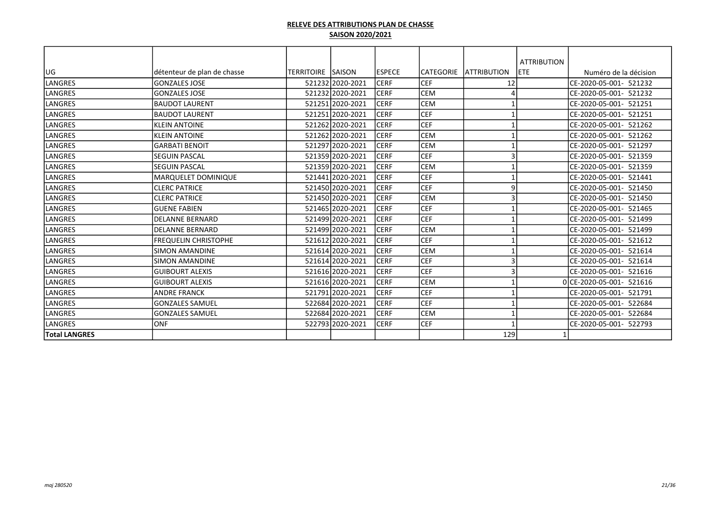|                      |                             |                          |                  |                |            |                         | <b>ATTRIBUTION</b> |                          |
|----------------------|-----------------------------|--------------------------|------------------|----------------|------------|-------------------------|--------------------|--------------------------|
| lug                  | détenteur de plan de chasse | <b>TERRITOIRE SAISON</b> |                  | <b>IESPECE</b> | lCATEGORIE | <b>LATTRIBUTION</b>     | ETE                | Numéro de la décision    |
| LANGRES              | <b>GONZALES JOSE</b>        |                          | 521232 2020-2021 | ICERF          | <b>CEF</b> | 12                      |                    | CE-2020-05-001- 521232   |
| llangres             | lGONZALES JOSE              |                          | 521232 2020-2021 | ICERF          | <b>CEM</b> | 4                       |                    | CE-2020-05-001- 521232   |
| llangres             | <b>BAUDOT LAURENT</b>       |                          | 521251 2020-2021 | ICERF          | <b>CEM</b> |                         |                    | CE-2020-05-001- 521251   |
| llangres             | <b>BAUDOT LAURENT</b>       |                          | 521251 2020-2021 | <b>CERF</b>    | <b>CEF</b> |                         |                    | CE-2020-05-001- 521251   |
| LANGRES              | <b>KLEIN ANTOINE</b>        |                          | 521262 2020-2021 | <b>CERF</b>    | <b>CEF</b> |                         |                    | CE-2020-05-001- 521262   |
| LANGRES              | <b>KLEIN ANTOINE</b>        |                          | 521262 2020-2021 | <b>CERF</b>    | <b>CEM</b> |                         |                    | CE-2020-05-001- 521262   |
| <b>LANGRES</b>       | lgarbati benoit             |                          | 521297 2020-2021 | <b>CERF</b>    | <b>CEM</b> |                         |                    | CE-2020-05-001- 521297   |
| llangres             | <b>SEGUIN PASCAL</b>        |                          | 521359 2020-2021 | lcerf          | <b>CEF</b> | 3                       |                    | CE-2020-05-001- 521359   |
| llangres             | <b>SEGUIN PASCAL</b>        |                          | 521359 2020-2021 | ICERF          | <b>CEM</b> |                         |                    | CE-2020-05-001- 521359   |
| LANGRES              | MARQUELET DOMINIQUE         |                          | 521441 2020-2021 | <b>CERF</b>    | <b>CEF</b> |                         |                    | CE-2020-05-001- 521441   |
| LANGRES              | <b>CLERC PATRICE</b>        |                          | 521450 2020-2021 | <b>CERF</b>    | <b>CEF</b> | 9                       |                    | CE-2020-05-001- 521450   |
| LANGRES              | <b>CLERC PATRICE</b>        |                          | 521450 2020-2021 | <b>CERF</b>    | <b>CEM</b> | $\overline{3}$          |                    | CE-2020-05-001- 521450   |
| LANGRES              | lguene fabien               |                          | 521465 2020-2021 | ICERF          | <b>CEF</b> |                         |                    | CE-2020-05-001- 521465   |
| LANGRES              | DELANNE BERNARD             |                          | 521499 2020-2021 | <b>CERF</b>    | <b>CEF</b> |                         |                    | CE-2020-05-001- 521499   |
| llangres             | DELANNE BERNARD             |                          | 521499 2020-2021 | <b>CERF</b>    | <b>CEM</b> |                         |                    | CE-2020-05-001- 521499   |
| llangres             | <b>FREQUELIN CHRISTOPHE</b> |                          | 521612 2020-2021 | <b>CERF</b>    | <b>CEF</b> |                         |                    | CE-2020-05-001- 521612   |
| LANGRES              | <b>SIMON AMANDINE</b>       |                          | 521614 2020-2021 | <b>CERF</b>    | CEM        |                         |                    | CE-2020-05-001- 521614   |
| llangres             | <b>SIMON AMANDINE</b>       |                          | 521614 2020-2021 | ICERF          | <b>CEF</b> | $\overline{\mathbf{3}}$ |                    | CE-2020-05-001- 521614   |
| LANGRES              | <b>IGUIBOURT ALEXIS</b>     |                          | 521616 2020-2021 | <b>CERF</b>    | <b>CEF</b> | $\overline{3}$          |                    | CE-2020-05-001- 521616   |
| LANGRES              | lguibourt alexis            |                          | 521616 2020-2021 | <b>CERF</b>    | CEM        |                         |                    | 0 CE-2020-05-001- 521616 |
| llangres             | <b>ANDRE FRANCK</b>         |                          | 521791 2020-2021 | ICERF          | <b>CEF</b> |                         |                    | CE-2020-05-001- 521791   |
| llangres             | lGONZALES SAMUEL            |                          | 522684 2020-2021 | <b>CERF</b>    | <b>CEF</b> |                         |                    | CE-2020-05-001- 522684   |
| llangres             | <b>GONZALES SAMUEL</b>      |                          | 522684 2020-2021 | ICERF          | <b>CEM</b> |                         |                    | CE-2020-05-001- 522684   |
| llangres             | lonf                        |                          | 522793 2020-2021 | <b>CERF</b>    | <b>CEF</b> |                         |                    | CE-2020-05-001- 522793   |
| <b>Total LANGRES</b> |                             |                          |                  |                |            | 129                     |                    |                          |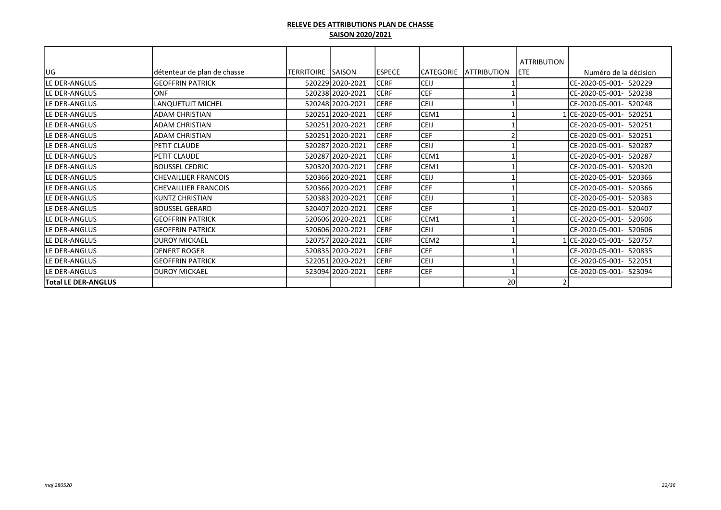|                            |                             |             |                  |               |             |                     | <b>ATTRIBUTION</b> |                           |
|----------------------------|-----------------------------|-------------|------------------|---------------|-------------|---------------------|--------------------|---------------------------|
| lug                        | détenteur de plan de chasse | ITERRITOIRE | <b>SAISON</b>    | <b>ESPECE</b> | ICATEGORIE  | <b>LATTRIBUTION</b> | IETE.              | Numéro de la décision     |
| lLE DER-ANGLUS             | lgeoffrin Patrick           |             | 520229 2020-2021 | <b>CERF</b>   | <b>CEIJ</b> |                     |                    | ICE-2020-05-001- 520229   |
| lle DER-ANGLUS             | <b>ONF</b>                  |             | 520238 2020-2021 | <b>CERF</b>   | <b>CEF</b>  |                     |                    | CE-2020-05-001- 520238    |
| lLE DER-ANGLUS             | <b>LANQUETUIT MICHEL</b>    |             | 520248 2020-2021 | <b>CERF</b>   | CEIJ        |                     |                    | CE-2020-05-001- 520248    |
| lLE DER-ANGLUS             | <b>ADAM CHRISTIAN</b>       |             | 520251 2020-2021 | <b>CERF</b>   | CEM1        |                     |                    | CE-2020-05-001- 520251    |
| lLE DER-ANGLUS             | <b>ADAM CHRISTIAN</b>       |             | 520251 2020-2021 | <b>CERF</b>   | <b>CEIJ</b> |                     |                    | CE-2020-05-001- 520251    |
| lLE DER-ANGLUS             | <b>ADAM CHRISTIAN</b>       |             | 520251 2020-2021 | <b>CERF</b>   | <b>CEF</b>  |                     |                    | CE-2020-05-001-<br>520251 |
| lle DER-ANGLUS             | PETIT CLAUDE                |             | 520287 2020-2021 | <b>CERF</b>   | CEIJ        |                     |                    | CE-2020-05-001- 520287    |
| lLE DER-ANGLUS             | PETIT CLAUDE                |             | 520287 2020-2021 | <b>CERF</b>   | CEM1        |                     |                    | CE-2020-05-001- 520287    |
| lLE DER-ANGLUS             | BOUSSEL CEDRIC              |             | 520320 2020-2021 | <b>CERF</b>   | CEM1        |                     |                    | CE-2020-05-001- 520320    |
| lLE DER-ANGLUS             | <b>CHEVAILLIER FRANCOIS</b> |             | 520366 2020-2021 | <b>CERF</b>   | <b>CEIJ</b> |                     |                    | CE-2020-05-001- 520366    |
| <b>LE DER-ANGLUS</b>       | <b>CHEVAILLIER FRANCOIS</b> |             | 520366 2020-2021 | <b>CERF</b>   | <b>CEF</b>  |                     |                    | CE-2020-05-001- 520366    |
| lle DER-ANGLUS             | <b>KUNTZ CHRISTIAN</b>      |             | 520383 2020-2021 | <b>CERF</b>   | <b>CEIJ</b> |                     |                    | CE-2020-05-001- 520383    |
| lLE DER-ANGLUS             | lbOUSSEL GERARD             |             | 520407 2020-2021 | <b>CERF</b>   | <b>CEF</b>  |                     |                    | CE-2020-05-001-<br>520407 |
| lLE DER-ANGLUS             | lgeoffrin Patrick           |             | 520606 2020-2021 | <b>CERF</b>   | CEM1        |                     |                    | CE-2020-05-001- 520606    |
| lLE DER-ANGLUS             | <b>GEOFFRIN PATRICK</b>     |             | 520606 2020-2021 | <b>CERF</b>   | <b>CEIJ</b> |                     |                    | CE-2020-05-001-<br>520606 |
| lle DER-ANGLUS             | <b>DUROY MICKAEL</b>        |             | 520757 2020-2021 | <b>CERF</b>   | CEM2        |                     |                    | CE-2020-05-001- 520757    |
| lLE DER-ANGLUS             | <b>DENERT ROGER</b>         |             | 520835 2020-2021 | <b>CERF</b>   | <b>CEF</b>  |                     |                    | ICE-2020-05-001- 520835   |
| lLE DER-ANGLUS             | lgeoffrin Patrick           |             | 522051 2020-2021 | <b>CERF</b>   | CEIJ        |                     |                    | ICE-2020-05-001- 522051   |
| lLE DER-ANGLUS             | IDUROY MICKAEL              |             | 523094 2020-2021 | <b>CERF</b>   | <b>CEF</b>  |                     |                    | CE-2020-05-001- 523094    |
| <b>Total LE DER-ANGLUS</b> |                             |             |                  |               |             | 20                  |                    |                           |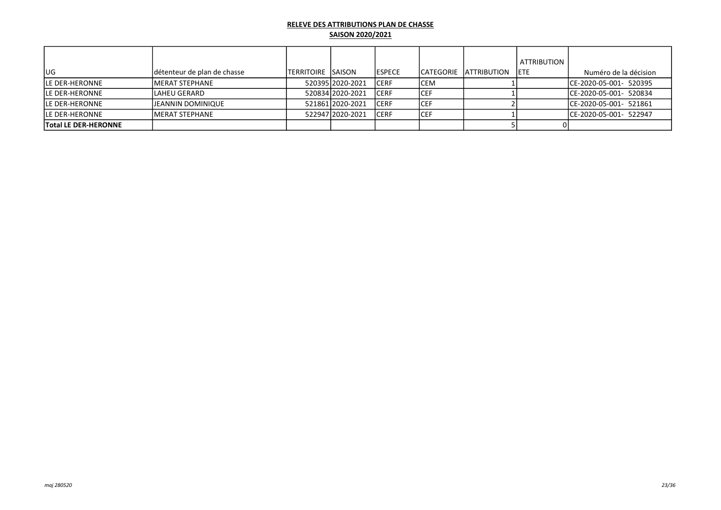|                             |                             |                     |                  |                |            |                     | ATTRIBUTION |                         |
|-----------------------------|-----------------------------|---------------------|------------------|----------------|------------|---------------------|-------------|-------------------------|
| lug                         | détenteur de plan de chasse | ITERRITOIRE ISAISON |                  | <b>IESPECE</b> | ICATEGORIE | <b>LATTRIBUTION</b> | <b>IETE</b> | Numéro de la décision   |
| <b>ILE DER-HERONNE</b>      | <b>IMERAT STEPHANE</b>      |                     | 52039512020-2021 | <b>ICERF</b>   | ICEM       |                     |             | ICE-2020-05-001- 520395 |
| <b>ILE DER-HERONNE</b>      | <b>LAHEU GERARD</b>         |                     | 52083412020-2021 | <b>ICERF</b>   | ICEF       |                     |             | ICE-2020-05-001- 520834 |
| <b>ILE DER-HERONNE</b>      | <b>JJEANNIN DOMINIQUE</b>   |                     | 521861 2020-2021 | <b>ICERF</b>   | ICEF       |                     |             | ICE-2020-05-001- 521861 |
| <b>ILE DER-HERONNE</b>      | <b>IMERAT STEPHANE</b>      |                     | 52294712020-2021 | <b>ICERF</b>   | ICEF       |                     |             | ICE-2020-05-001- 522947 |
| <b>Total LE DER-HERONNE</b> |                             |                     |                  |                |            |                     |             |                         |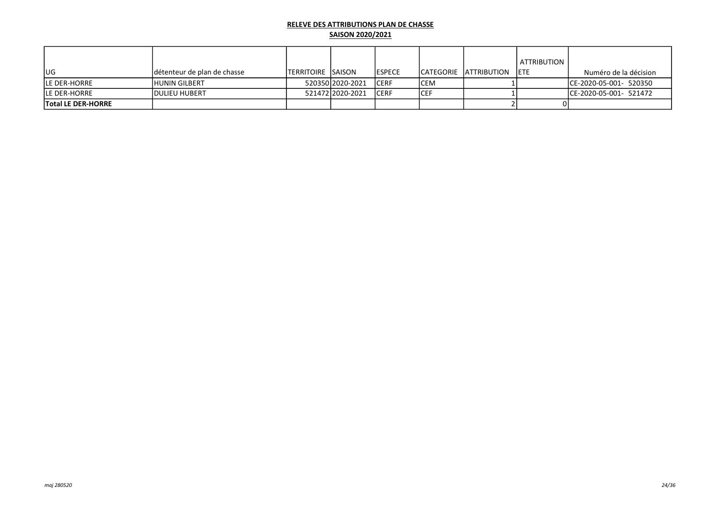|                           |                              |                            |                  |                |      |                         | ATTRIBUTION |                         |
|---------------------------|------------------------------|----------------------------|------------------|----------------|------|-------------------------|-------------|-------------------------|
| lug.                      | Idétenteur de plan de chasse | <b>ITERRITOIRE ISAISON</b> |                  | <b>IESPECE</b> |      | ICATEGORIE IATTRIBUTION | <b>IETE</b> | Numéro de la décision   |
| lle der-horre             | <b>HUNIN GILBERT</b>         |                            | 52035012020-2021 | <b>ICERF</b>   | lCEM |                         |             | ICE-2020-05-001- 520350 |
| <b>ILE DER-HORRE</b>      | <b>IDULIEU HUBERT</b>        |                            | 521472 2020-2021 | <b>ICERF</b>   | ICEF |                         |             | ICE-2020-05-001- 521472 |
| <b>Total LE DER-HORRE</b> |                              |                            |                  |                |      |                         |             |                         |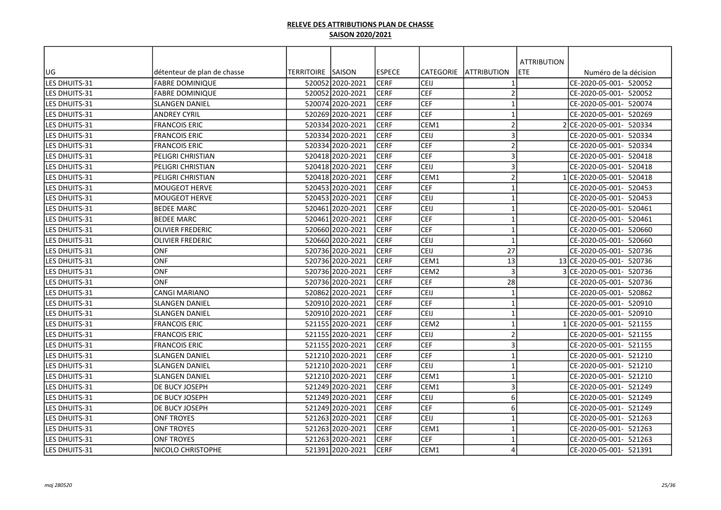| UG                             | détenteur de plan de chasse                    | TERRITOIRE SAISON |                                      | <b>ESPECE</b> | <b>CATEGORIE</b> | <b>ATTRIBUTION</b>      | <b>ATTRIBUTION</b><br>ETE | Numéro de la décision     |
|--------------------------------|------------------------------------------------|-------------------|--------------------------------------|---------------|------------------|-------------------------|---------------------------|---------------------------|
| LES DHUITS-31                  | <b>FABRE DOMINIQUE</b>                         |                   | 520052 2020-2021                     | <b>CERF</b>   | CEIJ             | $\mathbf{1}$            |                           | CE-2020-05-001- 520052    |
| LES DHUITS-31                  | <b>FABRE DOMINIQUE</b>                         |                   | 520052 2020-2021                     | <b>CERF</b>   | <b>CEF</b>       | $\overline{2}$          |                           | CE-2020-05-001- 520052    |
| LES DHUITS-31                  | <b>SLANGEN DANIEL</b>                          |                   | 520074 2020-2021                     | <b>CERF</b>   | CEF              | $\mathbf{1}$            |                           | CE-2020-05-001- 520074    |
| LES DHUITS-31                  | <b>ANDREY CYRIL</b>                            |                   | 520269 2020-2021                     | CERF          | <b>CEF</b>       | $\mathbf{1}$            |                           | CE-2020-05-001- 520269    |
| LES DHUITS-31                  | <b>FRANCOIS ERIC</b>                           |                   | 520334 2020-2021                     | <b>CERF</b>   | CEM1             | $\overline{2}$          |                           | 2 CE-2020-05-001- 520334  |
| LES DHUITS-31                  | <b>FRANCOIS ERIC</b>                           |                   | 520334 2020-2021                     | <b>CERF</b>   | CEIJ             | $\overline{3}$          |                           | CE-2020-05-001- 520334    |
| LES DHUITS-31                  | <b>FRANCOIS ERIC</b>                           |                   | 520334 2020-2021                     | <b>CERF</b>   | <b>CEF</b>       | $\overline{2}$          |                           | CE-2020-05-001- 520334    |
| LES DHUITS-31                  | PELIGRI CHRISTIAN                              |                   | 520418 2020-2021                     | <b>CERF</b>   | <b>CEF</b>       | $\overline{\mathbf{3}}$ |                           | CE-2020-05-001- 520418    |
| LES DHUITS-31                  | PELIGRI CHRISTIAN                              |                   | 520418 2020-2021                     | CERF          | CEIJ             | $\overline{3}$          |                           | CE-2020-05-001- 520418    |
| LES DHUITS-31                  | PELIGRI CHRISTIAN                              |                   | 520418 2020-2021                     | <b>CERF</b>   | CEM1             | $\overline{2}$          |                           | 1 CE-2020-05-001- 520418  |
| <b>LES DHUITS-31</b>           | <b>MOUGEOT HERVE</b>                           |                   | 520453 2020-2021                     | <b>CERF</b>   | CEF              | $\mathbf{1}$            |                           | CE-2020-05-001- 520453    |
| LES DHUITS-31                  | <b>MOUGEOT HERVE</b>                           |                   | 520453 2020-2021                     | <b>CERF</b>   | CEIJ             | $\mathbf{1}$            |                           | CE-2020-05-001- 520453    |
| LES DHUITS-31                  | <b>BEDEE MARC</b>                              |                   | 520461 2020-2021                     | <b>CERF</b>   | CEIJ             | $\mathbf{1}$            |                           | CE-2020-05-001- 520461    |
| LES DHUITS-31                  | <b>BEDEE MARC</b>                              |                   | 520461 2020-2021                     | <b>CERF</b>   | <b>CEF</b>       | $\mathbf{1}$            |                           | CE-2020-05-001- 520461    |
| LES DHUITS-31                  | <b>OLIVIER FREDERIC</b>                        |                   | 520660 2020-2021                     | <b>CERF</b>   | <b>CEF</b>       | $\mathbf{1}$            |                           | CE-2020-05-001- 520660    |
| LES DHUITS-31                  | <b>OLIVIER FREDERIC</b>                        |                   | 520660 2020-2021                     | <b>CERF</b>   | CEIJ             | $\mathbf{1}$            |                           | CE-2020-05-001- 520660    |
| <b>LES DHUITS-31</b>           | <b>ONF</b>                                     |                   | 520736 2020-2021                     | <b>CERF</b>   | CEIJ             | 27                      |                           | CE-2020-05-001- 520736    |
| LES DHUITS-31                  | <b>ONF</b>                                     |                   | 520736 2020-2021                     | <b>CERF</b>   | CEM1             | 13                      |                           | 13 CE-2020-05-001- 520736 |
| LES DHUITS-31                  | <b>ONF</b>                                     |                   | 520736 2020-2021                     | <b>CERF</b>   | CEM <sub>2</sub> | $\overline{\mathbf{3}}$ |                           | 3 CE-2020-05-001- 520736  |
| LES DHUITS-31                  | <b>ONF</b>                                     |                   | 520736 2020-2021                     | CERF          | <b>CEF</b>       | 28                      |                           | CE-2020-05-001- 520736    |
| LES DHUITS-31                  | <b>CANGI MARIANO</b>                           |                   | 520862 2020-2021                     | CERF          | CEIJ             | $\mathbf{1}$            |                           | CE-2020-05-001- 520862    |
| LES DHUITS-31                  | <b>SLANGEN DANIEL</b>                          |                   | 520910 2020-2021                     | <b>CERF</b>   | CEF              | $\mathbf{1}$            |                           | CE-2020-05-001- 520910    |
| <b>LES DHUITS-31</b>           | <b>SLANGEN DANIEL</b>                          |                   | 520910 2020-2021                     | <b>CERF</b>   | CEIJ             | $\overline{1}$          |                           | CE-2020-05-001- 520910    |
| LES DHUITS-31                  | <b>FRANCOIS ERIC</b>                           |                   | 521155 2020-2021                     | CERF          | CEM <sub>2</sub> | $\mathbf{1}$            |                           | 1 CE-2020-05-001- 521155  |
| LES DHUITS-31                  | <b>FRANCOIS ERIC</b>                           |                   | 521155 2020-2021                     | <b>CERF</b>   | CEIJ             | $\overline{2}$          |                           | CE-2020-05-001- 521155    |
| LES DHUITS-31                  | <b>FRANCOIS ERIC</b>                           |                   | 521155 2020-2021                     | <b>CERF</b>   | <b>CEF</b>       | $\overline{\mathbf{3}}$ |                           | CE-2020-05-001- 521155    |
|                                |                                                |                   | 521210 2020-2021                     | <b>CERF</b>   | <b>CEF</b>       | $\mathbf{1}$            |                           | CE-2020-05-001- 521210    |
| LES DHUITS-31<br>LES DHUITS-31 | <b>SLANGEN DANIEL</b><br><b>SLANGEN DANIEL</b> |                   | 521210 2020-2021                     | <b>CERF</b>   | CEIJ             | $\mathbf{1}$            |                           | CE-2020-05-001- 521210    |
|                                |                                                |                   |                                      | <b>CERF</b>   | CEM1             | $\mathbf{1}$            |                           | CE-2020-05-001- 521210    |
| LES DHUITS-31<br>LES DHUITS-31 | <b>SLANGEN DANIEL</b>                          |                   | 521210 2020-2021<br>521249 2020-2021 | <b>CERF</b>   | CEM1             | $\overline{\mathbf{3}}$ |                           | CE-2020-05-001- 521249    |
|                                | DE BUCY JOSEPH                                 |                   | 521249 2020-2021                     | CERF          | CEIJ             | 6                       |                           | CE-2020-05-001- 521249    |
| LES DHUITS-31                  | DE BUCY JOSEPH                                 |                   |                                      | CERF          | <b>CEF</b>       | 6                       |                           |                           |
| LES DHUITS-31                  | DE BUCY JOSEPH                                 |                   | 521249 2020-2021                     |               |                  |                         |                           | CE-2020-05-001- 521249    |
| LES DHUITS-31                  | <b>ONF TROYES</b>                              |                   | 521263 2020-2021                     | <b>CERF</b>   | CEIJ             | $\mathbf{1}$            |                           | CE-2020-05-001- 521263    |
| LES DHUITS-31                  | <b>ONF TROYES</b>                              |                   | 521263 2020-2021                     | <b>CERF</b>   | CEM1             | $\mathbf{1}$            |                           | CE-2020-05-001- 521263    |
| LES DHUITS-31                  | <b>ONF TROYES</b>                              |                   | 521263 2020-2021                     | <b>CERF</b>   | <b>CEF</b>       | $\mathbf{1}$            |                           | CE-2020-05-001- 521263    |
| LES DHUITS-31                  | NICOLO CHRISTOPHE                              |                   | 521391 2020-2021                     | <b>CERF</b>   | CEM1             | $\overline{4}$          |                           | CE-2020-05-001- 521391    |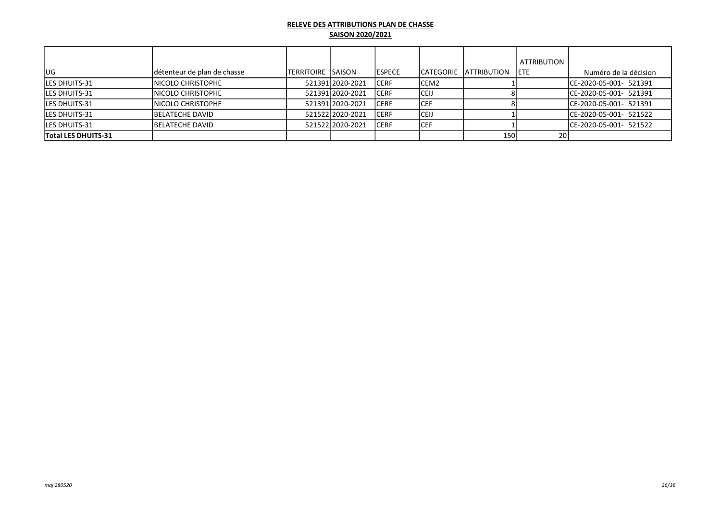| lug                 | Idétenteur de plan de chasse | ITERRITOIRE ISAISON |                  | <b>IESPECE</b> |       | ICATEGORIE IATTRIBUTION | ATTRIBUTION<br><b>IETE</b> | Numéro de la décision   |
|---------------------|------------------------------|---------------------|------------------|----------------|-------|-------------------------|----------------------------|-------------------------|
| LES DHUITS-31       | INICOLO CHRISTOPHE           |                     | 521391 2020-2021 | <b>ICERF</b>   | ICEM2 |                         |                            | ICE-2020-05-001- 521391 |
| LES DHUITS-31       | INICOLO CHRISTOPHE           |                     | 52139112020-2021 | ICERF          | ICEIJ |                         |                            | ICE-2020-05-001- 521391 |
| lLES DHUITS-31      | INICOLO CHRISTOPHE           |                     | 52139112020-2021 | ICERF          | ICEF  |                         |                            | ICE-2020-05-001- 521391 |
| LES DHUITS-31       | <b>IBELATECHE DAVID</b>      |                     | 52152212020-2021 | ICERF          | ICEIJ |                         |                            | ICE-2020-05-001- 521522 |
| LES DHUITS-31       | <b>IBELATECHE DAVID</b>      |                     | 52152212020-2021 | ICERF          | ICEF  |                         |                            | ICE-2020-05-001- 521522 |
| Total LES DHUITS-31 |                              |                     |                  |                |       | 150                     | 20I                        |                         |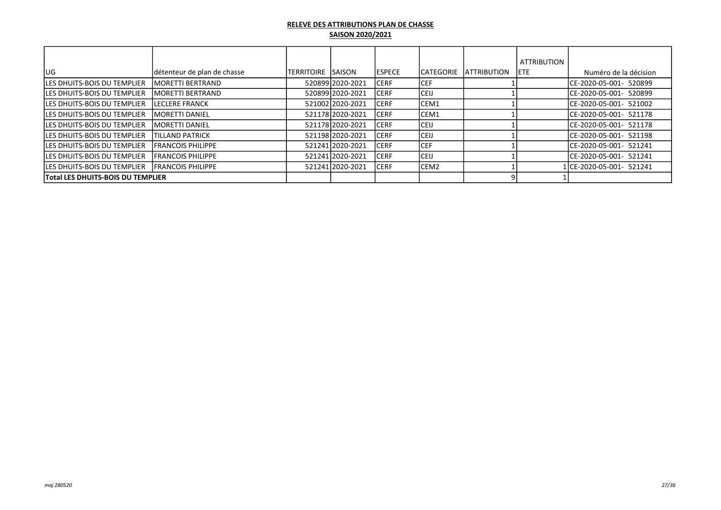|                                          |                             |                           |                  |                |                   |                                | <b>ATTRIBUTION</b> |                          |
|------------------------------------------|-----------------------------|---------------------------|------------------|----------------|-------------------|--------------------------------|--------------------|--------------------------|
| lug                                      | détenteur de plan de chasse | <b>TERRITOIRE ISAISON</b> |                  | <b>IESPECE</b> |                   | <b>ICATEGORIE IATTRIBUTION</b> | IETE.              | Numéro de la décision    |
| <b>LES DHUITS-BOIS DU TEMPLIER</b>       | <b>IMORETTI BERTRAND</b>    |                           | 520899 2020-2021 | ICERF          | ICEF              |                                |                    | ICE-2020-05-001- 520899  |
| <b>ILES DHUITS-BOIS DU TEMPLIER</b>      | <b>IMORETTI BERTRAND</b>    |                           | 52089912020-2021 | ICERF          | ICEIJ             |                                |                    | ICE-2020-05-001- 520899  |
| <b>ILES DHUITS-BOIS DU TEMPLIER</b>      | <b>ILECLERE FRANCK</b>      |                           | 521002 2020-2021 | ICERF          | ICEM1             |                                |                    | ICE-2020-05-001- 521002  |
| <b>ILES DHUITS-BOIS DU TEMPLIER</b>      | <b>IMORETTI DANIEL</b>      |                           | 521178 2020-2021 | ICERF          | ICEM1             |                                |                    | ICE-2020-05-001- 521178  |
| <b>ILES DHUITS-BOIS DU TEMPLIER</b>      | <b>IMORETTI DANIEL</b>      |                           | 521178 2020-2021 | ICERF          | <b>ICEIJ</b>      |                                |                    | ICE-2020-05-001- 521178  |
| <b>ILES DHUITS-BOIS DU TEMPLIER</b>      | <b>TILLAND PATRICK</b>      |                           | 521198 2020-2021 | ICERF          | <b>CEIJ</b>       |                                |                    | ICE-2020-05-001- 521198  |
| <b>LES DHUITS-BOIS DU TEMPLIER</b>       | <b>IFRANCOIS PHILIPPE</b>   |                           | 521241 2020-2021 | ICERF          | <b>ICEF</b>       |                                |                    | ICE-2020-05-001- 521241  |
| <b>ILES DHUITS-BOIS DU TEMPLIER</b>      | <b>IFRANCOIS PHILIPPE</b>   |                           | 521241 2020-2021 | <b>CERF</b>    | <b>ICEIJ</b>      |                                |                    | ICE-2020-05-001- 521241  |
| <b>ILES DHUITS-BOIS DU TEMPLIER</b>      | <b>IFRANCOIS PHILIPPE</b>   |                           | 521241 2020-2021 | ICERF          | ICEM <sub>2</sub> |                                |                    | 1lCE-2020-05-001- 521241 |
| <b>Total LES DHUITS-BOIS DU TEMPLIER</b> |                             |                           |                  |                |                   |                                |                    |                          |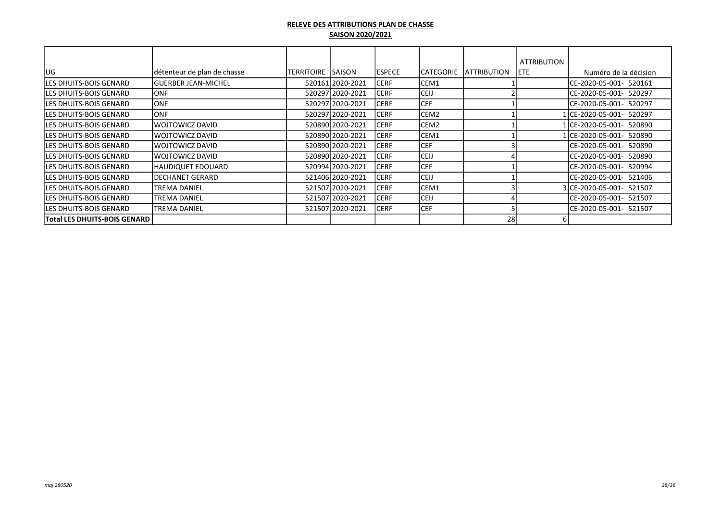|                                |                             |            |                  |               |                  |                    | <b>ATTRIBUTION</b> |                           |
|--------------------------------|-----------------------------|------------|------------------|---------------|------------------|--------------------|--------------------|---------------------------|
| lug                            | détenteur de plan de chasse | TERRITOIRE | <b>SAISON</b>    | <b>ESPECE</b> | <b>CATEGORIE</b> | <b>ATTRIBUTION</b> | lete.              | Numéro de la décision     |
| lLES DHUITS-BOIS GENARD        | lGUERBER JEAN-MICHEL        |            | 520161 2020-2021 | ICERF         | CEM1             |                    |                    | ICE-2020-05-001- 520161   |
| LES DHUITS-BOIS GENARD         | <b>ONF</b>                  |            | 520297 2020-2021 | ICERF         | <b>CEIJ</b>      |                    |                    | ICE-2020-05-001- 520297   |
| <b>ILES DHUITS-BOIS GENARD</b> | <b>ONF</b>                  |            | 520297 2020-2021 | <b>CERF</b>   | <b>CEF</b>       |                    |                    | CE-2020-05-001- 520297    |
| <b>ILES DHUITS-BOIS GENARD</b> | <b>ONF</b>                  |            | 520297 2020-2021 | <b>CERF</b>   | CEM <sub>2</sub> |                    |                    | 1lCE-2020-05-001- 520297  |
| <b>ILES DHUITS-BOIS GENARD</b> | WOJTOWICZ DAVID             |            | 520890 2020-2021 | <b>CERF</b>   | CEM2             |                    |                    | 1 CE-2020-05-001- 520890  |
| <b>ILES DHUITS-BOIS GENARD</b> | IWOJTOWICZ DAVID            |            | 520890 2020-2021 | <b>CERF</b>   | CEM1             |                    |                    | 1 ICE-2020-05-001- 520890 |
| <b>ILES DHUITS-BOIS GENARD</b> | IWOJTOWICZ DAVID            |            | 520890 2020-2021 | <b>CERF</b>   | CEF              |                    |                    | ICE-2020-05-001- 520890   |
| <b>ILES DHUITS-BOIS GENARD</b> | IWOJTOWICZ DAVID            |            | 520890 2020-2021 | <b>CERF</b>   | <b>CEIJ</b>      |                    |                    | ICE-2020-05-001- 520890   |
| <b>ILES DHUITS-BOIS GENARD</b> | HAUDIQUET EDOUARD           |            | 520994 2020-2021 | ICERF         | <b>CEF</b>       |                    |                    | ICE-2020-05-001- 520994   |
| <b>ILES DHUITS-BOIS GENARD</b> | DECHANET GERARD             |            | 521406 2020-2021 | <b>CERF</b>   | <b>CEIJ</b>      |                    |                    | ICE-2020-05-001- 521406   |
| <b>ILES DHUITS-BOIS GENARD</b> | <b>TREMA DANIEL</b>         |            | 521507 2020-2021 | <b>CERF</b>   | CEM1             |                    |                    | 3lCE-2020-05-001- 521507  |
| <b>ILES DHUITS-BOIS GENARD</b> | ITREMA DANIEL               |            | 521507 2020-2021 | <b>CERF</b>   | <b>CEIJ</b>      |                    |                    | ICE-2020-05-001- 521507   |
| lLES DHUITS-BOIS GENARD        | <b>TREMA DANIEL</b>         |            | 521507 2020-2021 | <b>CERF</b>   | <b>CEF</b>       |                    |                    | ICE-2020-05-001- 521507   |
| Total LES DHUITS-BOIS GENARD   |                             |            |                  |               |                  | 28                 |                    |                           |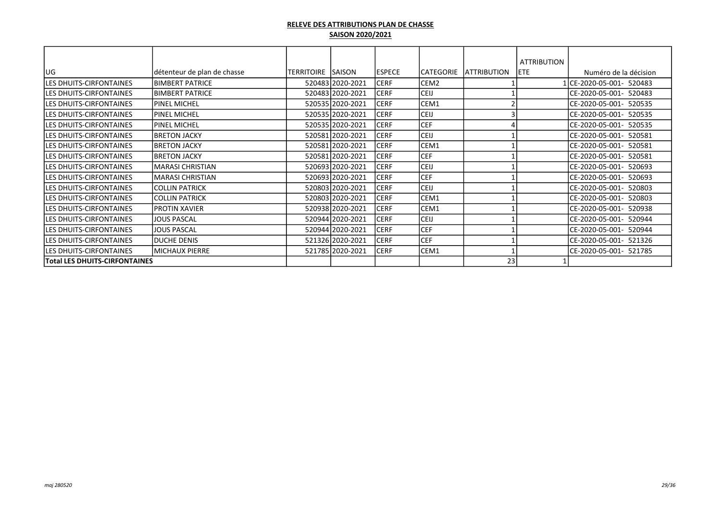|                                      |                             |                    |                  |                |                  |                     | <b>ATTRIBUTION</b> |                            |
|--------------------------------------|-----------------------------|--------------------|------------------|----------------|------------------|---------------------|--------------------|----------------------------|
| lug                                  | détenteur de plan de chasse | TERRITOIRE  SAISON |                  | <b>IESPECE</b> | CATEGORIE        | <b>LATTRIBUTION</b> | IETE.              | Numéro de la décision      |
| LES DHUITS-CIRFONTAINES              | <b>BIMBERT PATRICE</b>      |                    | 520483 2020-2021 | <b>CERF</b>    | CEM <sub>2</sub> |                     |                    | LCE-2020-05-001- 520483    |
| LES DHUITS-CIRFONTAINES              | <b>BIMBERT PATRICE</b>      |                    | 520483 2020-2021 | <b>CERF</b>    | <b>CEIJ</b>      |                     |                    | CE-2020-05-001- 520483     |
| <b>LES DHUITS-CIRFONTAINES</b>       | <b>PINEL MICHEL</b>         |                    | 520535 2020-2021 | <b>CERF</b>    | CEM1             |                     |                    | ICE-2020-05-001- 520535    |
| <b>LES DHUITS-CIRFONTAINES</b>       | <b>PINEL MICHEL</b>         |                    | 520535 2020-2021 | <b>CERF</b>    | <b>CEIJ</b>      |                     |                    | CE-2020-05-001- 520535     |
| <b>LES DHUITS-CIRFONTAINES</b>       | IPINEL MICHEL               |                    | 520535 2020-2021 | <b>CERF</b>    | lcef             |                     |                    | ICE-2020-05-001- 520535    |
| <b>LES DHUITS-CIRFONTAINES</b>       | <b>BRETON JACKY</b>         |                    | 520581 2020-2021 | ICERF          | <b>CEIJ</b>      |                     |                    | ICE-2020-05-001-<br>520581 |
| <b>LES DHUITS-CIRFONTAINES</b>       | <b>BRETON JACKY</b>         |                    | 520581 2020-2021 | <b>CERF</b>    | ICEM1            |                     |                    | ICE-2020-05-001-<br>520581 |
| <b>LES DHUITS-CIRFONTAINES</b>       | <b>BRETON JACKY</b>         |                    | 520581 2020-2021 | <b>CERF</b>    | <b>CEF</b>       |                     |                    | CE-2020-05-001-<br>520581  |
| LES DHUITS-CIRFONTAINES              | İMARASI CHRISTIAN           |                    | 520693 2020-2021 | <b>CERF</b>    | CEIJ             |                     |                    | ICE-2020-05-001-<br>520693 |
| LES DHUITS-CIRFONTAINES              | MARASI CHRISTIAN            |                    | 520693 2020-2021 | <b>CERF</b>    | <b>CEF</b>       |                     |                    | CE-2020-05-001-<br>520693  |
| LES DHUITS-CIRFONTAINES              | <b>COLLIN PATRICK</b>       |                    | 520803 2020-2021 | <b>CERF</b>    | <b>CEIJ</b>      |                     |                    | CE-2020-05-001-<br>520803  |
| <b>LES DHUITS-CIRFONTAINES</b>       | <b>COLLIN PATRICK</b>       |                    | 520803 2020-2021 | <b>CERF</b>    | CEM1             |                     |                    | CE-2020-05-001-<br>520803  |
| LES DHUITS-CIRFONTAINES              | PROTIN XAVIER               |                    | 520938 2020-2021 | <b>CERF</b>    | CEM1             |                     |                    | CE-2020-05-001-<br>520938  |
| LES DHUITS-CIRFONTAINES              | JOUS PASCAL                 |                    | 520944 2020-2021 | <b>CERF</b>    | <b>CEIJ</b>      |                     |                    | CE-2020-05-001-<br>520944  |
| LES DHUITS-CIRFONTAINES              | JOUS PASCAL                 |                    | 520944 2020-2021 | <b>CERF</b>    | <b>CEF</b>       |                     |                    | CE-2020-05-001-<br>520944  |
| <b>LES DHUITS-CIRFONTAINES</b>       | <b>DUCHE DENIS</b>          |                    | 521326 2020-2021 | <b>CERF</b>    | CEF              |                     |                    | CE-2020-05-001- 521326     |
| LES DHUITS-CIRFONTAINES              | MICHAUX PIERRE              |                    | 521785 2020-2021 | <b>CERF</b>    | CEM1             |                     |                    | ICE-2020-05-001- 521785    |
| <b>Total LES DHUITS-CIRFONTAINES</b> |                             |                    |                  |                |                  | 23                  |                    |                            |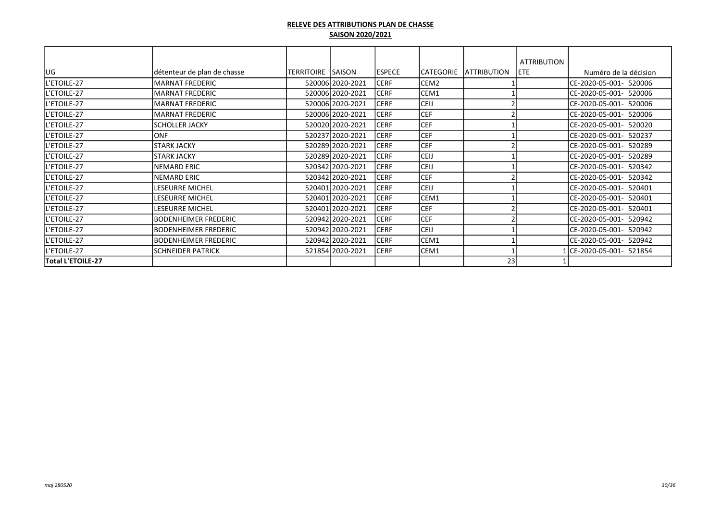|                    |                              |                   |                  |               |                  |                    | <b>ATTRIBUTION</b> |                           |
|--------------------|------------------------------|-------------------|------------------|---------------|------------------|--------------------|--------------------|---------------------------|
| lug                | détenteur de plan de chasse  | TERRITOIRE SAISON |                  | <b>ESPECE</b> | CATEGORIE        | <b>ATTRIBUTION</b> | <b>IETE</b>        | Numéro de la décision     |
| L'ETOILE-27        | <b>MARNAT FREDERIC</b>       |                   | 520006 2020-2021 | <b>CERF</b>   | CEM <sub>2</sub> |                    |                    | CE-2020-05-001- 520006    |
| L'ETOILE-27        | <b>MARNAT FREDERIC</b>       |                   | 520006 2020-2021 | <b>CERF</b>   | CEM1             |                    |                    | CE-2020-05-001- 520006    |
| L'ETOILE-27        | <b>MARNAT FREDERIC</b>       |                   | 520006 2020-2021 | <b>CERF</b>   | <b>CEIJ</b>      |                    |                    | ICE-2020-05-001- 520006   |
| L'ETOILE-27        | <b>MARNAT FREDERIC</b>       |                   | 520006 2020-2021 | <b>CERF</b>   | <b>CEF</b>       |                    |                    | CE-2020-05-001- 520006    |
| L'ETOILE-27        | <b>SCHOLLER JACKY</b>        |                   | 520020 2020-2021 | <b>CERF</b>   | <b>CEF</b>       |                    |                    | ICE-2020-05-001- 520020   |
| L'ETOILE-27        | <b>ONF</b>                   |                   | 520237 2020-2021 | <b>CERF</b>   | <b>CEF</b>       |                    |                    | ICE-2020-05-001- 520237   |
| <b>L'ETOILE-27</b> | <b>STARK JACKY</b>           |                   | 520289 2020-2021 | <b>CERF</b>   | <b>CEF</b>       |                    |                    | ICE-2020-05-001- 520289   |
| L'ETOILE-27        | <b>STARK JACKY</b>           |                   | 520289 2020-2021 | <b>CERF</b>   | <b>CEIJ</b>      |                    |                    | CE-2020-05-001- 520289    |
| L'ETOILE-27        | <b>NEMARD ERIC</b>           |                   | 520342 2020-2021 | <b>CERF</b>   | <b>CEIJ</b>      |                    |                    | ICE-2020-05-001- 520342   |
| L'ETOILE-27        | <b>NEMARD ERIC</b>           |                   | 520342 2020-2021 | <b>CERF</b>   | <b>CEF</b>       |                    |                    | CE-2020-05-001- 520342    |
| <b>L'ETOILE-27</b> | <b>LESEURRE MICHEL</b>       |                   | 520401 2020-2021 | <b>CERF</b>   | <b>CEIJ</b>      |                    |                    | ICE-2020-05-001- 520401   |
| L'ETOILE-27        | <b>LESEURRE MICHEL</b>       |                   | 520401 2020-2021 | <b>CERF</b>   | CEM1             |                    |                    | CE-2020-05-001- 520401    |
| L'ETOILE-27        | <b>LESEURRE MICHEL</b>       |                   | 520401 2020-2021 | <b>CERF</b>   | <b>CEF</b>       |                    |                    | ICE-2020-05-001- 520401   |
| L'ETOILE-27        | <b>IBODENHEIMER FREDERIC</b> |                   | 520942 2020-2021 | <b>CERF</b>   | <b>CEF</b>       |                    |                    | CE-2020-05-001-<br>520942 |
| L'ETOILE-27        | <b>IBODENHEIMER FREDERIC</b> |                   | 520942 2020-2021 | <b>CERF</b>   | <b>CEIJ</b>      |                    |                    | CE-2020-05-001- 520942    |
| L'ETOILE-27        | BODENHEIMER FREDERIC         |                   | 520942 2020-2021 | <b>CERF</b>   | CEM1             |                    |                    | CE-2020-05-001- 520942    |
| L'ETOILE-27        | <b>SCHNEIDER PATRICK</b>     |                   | 521854 2020-2021 | <b>CERF</b>   | CEM1             |                    |                    | L CE-2020-05-001- 521854  |
| Total L'ETOILE-27  |                              |                   |                  |               |                  | 23                 |                    |                           |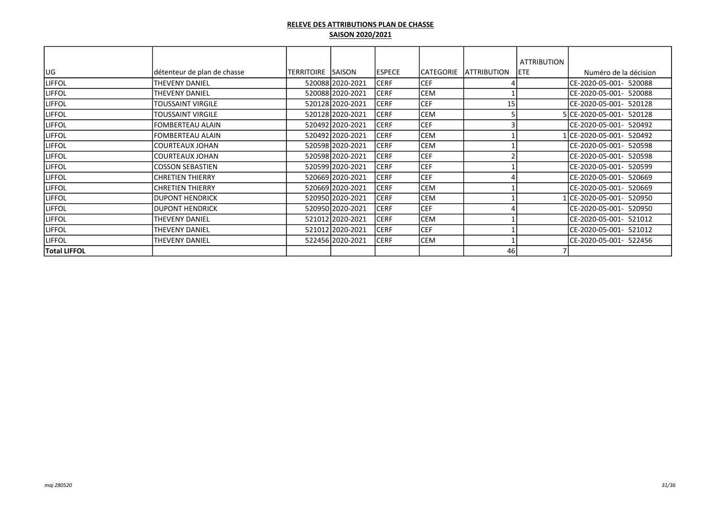|                     |                             |                    |                  |                |            |                     | <b>ATTRIBUTION</b> |                          |
|---------------------|-----------------------------|--------------------|------------------|----------------|------------|---------------------|--------------------|--------------------------|
| lug                 | détenteur de plan de chasse | TERRITOIRE  SAISON |                  | <b>IESPECE</b> | ICATEGORIE | <b>IATTRIBUTION</b> | <b>IETE</b>        | Numéro de la décision    |
| <b>LIFFOL</b>       | <b>THEVENY DANIEL</b>       |                    | 520088 2020-2021 | <b>CERF</b>    | <b>CEF</b> |                     |                    | CE-2020-05-001- 520088   |
| <b>LIFFOL</b>       | THEVENY DANIEL              |                    | 520088 2020-2021 | <b>CERF</b>    | <b>CEM</b> |                     |                    | CE-2020-05-001- 520088   |
| <b>LIFFOL</b>       | TOUSSAINT VIRGILE           |                    | 520128 2020-2021 | <b>CERF</b>    | <b>CEF</b> | 15                  |                    | CE-2020-05-001- 520128   |
| <b>LIFFOL</b>       | TOUSSAINT VIRGILE           |                    | 520128 2020-2021 | <b>CERF</b>    | <b>CEM</b> |                     |                    | 5CE-2020-05-001- 520128  |
| <b>LIFFOL</b>       | <b>FOMBERTEAU ALAIN</b>     |                    | 520492 2020-2021 | <b>CERF</b>    | <b>CEF</b> |                     |                    | ICE-2020-05-001- 520492  |
| <b>LIFFOL</b>       | <b>FOMBERTEAU ALAIN</b>     |                    | 520492 2020-2021 | <b>CERF</b>    | CEM        |                     |                    | LlCE-2020-05-001- 520492 |
| <b>LIFFOL</b>       | lcourteaux Johan            |                    | 520598 2020-2021 | <b>CERF</b>    | <b>CEM</b> |                     |                    | ICE-2020-05-001- 520598  |
| <b>LIFFOL</b>       | lcourteaux Johan            |                    | 520598 2020-2021 | <b>CERF</b>    | <b>CEF</b> |                     |                    | ICE-2020-05-001- 520598  |
| <b>LIFFOL</b>       | lcosson sebastien           |                    | 520599 2020-2021 | <b>CERF</b>    | <b>CEF</b> |                     |                    | CE-2020-05-001- 520599   |
| <b>LIFFOL</b>       | <b>CHRETIEN THIERRY</b>     |                    | 520669 2020-2021 | <b>CERF</b>    | <b>CEF</b> |                     |                    | CE-2020-05-001- 520669   |
| <b>LIFFOL</b>       | <b>CHRETIEN THIERRY</b>     |                    | 520669 2020-2021 | <b>CERF</b>    | <b>CEM</b> |                     |                    | CE-2020-05-001- 520669   |
| <b>LIFFOL</b>       | <b>IDUPONT HENDRICK</b>     |                    | 520950 2020-2021 | <b>CERF</b>    | <b>CEM</b> |                     |                    | lCE-2020-05-001- 520950  |
| <b>LIFFOL</b>       | <b>DUPONT HENDRICK</b>      |                    | 520950 2020-2021 | <b>CERF</b>    | <b>CEF</b> |                     |                    | CE-2020-05-001- 520950   |
| <b>LIFFOL</b>       | THEVENY DANIEL              |                    | 521012 2020-2021 | <b>CERF</b>    | <b>CEM</b> |                     |                    | CE-2020-05-001- 521012   |
| <b>LIFFOL</b>       | THEVENY DANIEL              |                    | 521012 2020-2021 | <b>CERF</b>    | <b>CEF</b> |                     |                    | CE-2020-05-001- 521012   |
| <b>LIFFOL</b>       | THEVENY DANIEL              |                    | 522456 2020-2021 | <b>CERF</b>    | <b>CEM</b> |                     |                    | CE-2020-05-001- 522456   |
| <b>Total LIFFOL</b> |                             |                    |                  |                |            | 46                  |                    |                          |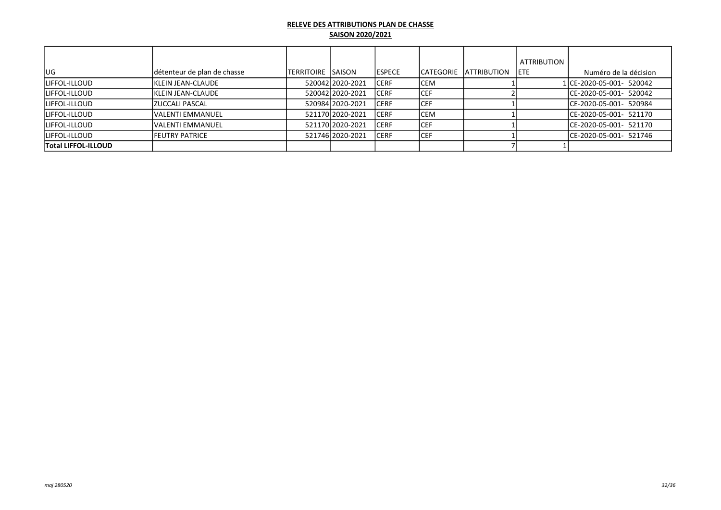|                            |                             |                     |                    |                |             |                     | ATTRIBUTION |                          |
|----------------------------|-----------------------------|---------------------|--------------------|----------------|-------------|---------------------|-------------|--------------------------|
| lug.                       | détenteur de plan de chasse | ITERRITOIRE ISAISON |                    | <b>IESPECE</b> | ICATEGORIE  | <b>IATTRIBUTION</b> | <b>IETE</b> | Numéro de la décision    |
| <b>LIFFOL-ILLOUD</b>       | <b>IKLEIN JEAN-CLAUDE</b>   |                     | 52004212020-2021   | <b>CERF</b>    | <b>CEM</b>  |                     |             | 1 CE-2020-05-001- 520042 |
| ILIFFOL-ILLOUD             | <b>KLEIN JEAN-CLAUDE</b>    |                     | 52004212020-2021   | <b>CERF</b>    | ICEF        |                     |             | CE-2020-05-001- 520042   |
| <b>LIFFOL-ILLOUD</b>       | IZUCCALI PASCAL             |                     | 52098412020-2021   | <b>CERF</b>    | ICEF        |                     |             | ICE-2020-05-001- 520984  |
| <b>LIFFOL-ILLOUD</b>       | <b>IVALENTI EMMANUEL</b>    |                     | 521170 2020 - 2021 | <b>CERF</b>    | <b>CEM</b>  |                     |             | ICE-2020-05-001- 521170  |
| <b>LIFFOL-ILLOUD</b>       | <b>IVALENTI EMMANUEL</b>    |                     | 521170 2020 - 2021 | <b>CERF</b>    | <b>ICEF</b> |                     |             | ICE-2020-05-001- 521170  |
| <b>LIFFOL-ILLOUD</b>       | <b>IFEUTRY PATRICE</b>      |                     | 521746 2020-2021   | <b>CERF</b>    | <b>ICEF</b> |                     |             | ICE-2020-05-001- 521746  |
| <b>Total LIFFOL-ILLOUD</b> |                             |                     |                    |                |             |                     |             |                          |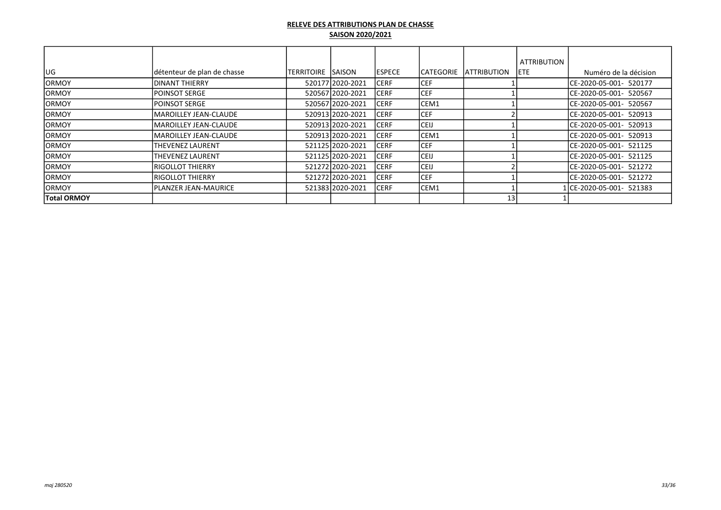| lug                | détenteur de plan de chasse   | ITERRITOIRE ISAISON |                  | <b>IESPECE</b> | <b>CATEGORIE</b> | <b>LATTRIBUTION</b> | <b>ATTRIBUTION</b><br>IETE. | Numéro de la décision   |
|--------------------|-------------------------------|---------------------|------------------|----------------|------------------|---------------------|-----------------------------|-------------------------|
| <b>IORMOY</b>      | IDINANT THIERRY               |                     | 520177 2020-2021 | ICERF          | <b>CEF</b>       |                     |                             | ICE-2020-05-001- 520177 |
| <b>IORMOY</b>      | <b>IPOINSOT SERGE</b>         |                     | 520567 2020-2021 | <b>CERF</b>    | <b>CEF</b>       |                     |                             | CE-2020-05-001- 520567  |
| <b>IORMOY</b>      | <b>IPOINSOT SERGE</b>         |                     | 520567 2020-2021 | <b>CERF</b>    | CEM1             |                     |                             | ICE-2020-05-001- 520567 |
| <b>IORMOY</b>      | <b>IMAROILLEY JEAN-CLAUDE</b> |                     | 520913 2020-2021 | <b>CERF</b>    | <b>CEF</b>       |                     |                             | CE-2020-05-001- 520913  |
| <b>IORMOY</b>      | IMAROILLEY JEAN-CLAUDE        |                     | 52091312020-2021 | <b>CERF</b>    | <b>CEIJ</b>      |                     |                             | ICE-2020-05-001- 520913 |
| <b>IORMOY</b>      | <b>IMAROILLEY JEAN-CLAUDE</b> |                     | 520913 2020-2021 | <b>CERF</b>    | ICEM1            |                     |                             | ICE-2020-05-001- 520913 |
| <b>ORMOY</b>       | THEVENEZ LAURENT              |                     | 521125 2020-2021 | <b>CERF</b>    | <b>CEF</b>       |                     |                             | ICE-2020-05-001- 521125 |
| <b>ORMOY</b>       | <b>THEVENEZ LAURENT</b>       |                     | 521125 2020-2021 | <b>CERF</b>    | <b>CEIJ</b>      |                     |                             | CE-2020-05-001- 521125  |
| <b>ORMOY</b>       | <b>IRIGOLLOT THIERRY</b>      |                     | 521272 2020-2021 | <b>CERF</b>    | <b>CEIJ</b>      |                     |                             | CE-2020-05-001- 521272  |
| <b>IORMOY</b>      | <b>IRIGOLLOT THIERRY</b>      |                     | 521272 2020-2021 | <b>CERF</b>    | ICEF.            |                     |                             | ICE-2020-05-001- 521272 |
| <b>IORMOY</b>      | IPLANZER JEAN-MAURICE         |                     | 521383 2020-2021 | <b>CERF</b>    | ICEM1            |                     |                             | 1CE-2020-05-001- 521383 |
| <b>Total ORMOY</b> |                               |                     |                  |                |                  | 13                  |                             |                         |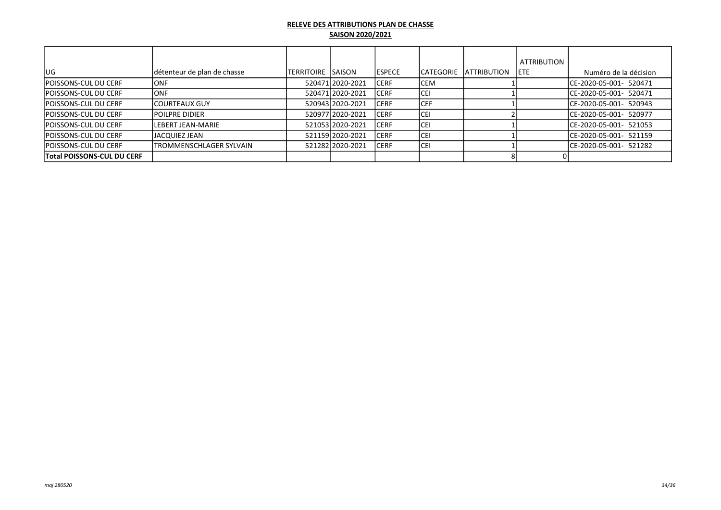|                             |                             |                     |                  |                |                   |                     | <b>ATTRIBUTION</b> |                         |
|-----------------------------|-----------------------------|---------------------|------------------|----------------|-------------------|---------------------|--------------------|-------------------------|
| UG                          | détenteur de plan de chasse | ITERRITOIRE ISAISON |                  | <b>IESPECE</b> | <b>ICATEGORIE</b> | <b>LATTRIBUTION</b> | <b>IETE</b>        | Numéro de la décision   |
| POISSONS-CUL DU CERF        | <b>ONF</b>                  |                     | 520471 2020-2021 | ICERF          | lcem              |                     |                    | ICE-2020-05-001- 520471 |
| POISSONS-CUL DU CERF        | <b>IONF</b>                 |                     | 520471 2020-2021 | <b>CERF</b>    | lcei              |                     |                    | ICE-2020-05-001- 520471 |
| <b>POISSONS-CUL DU CERF</b> | <b>ICOURTEAUX GUY</b>       |                     | 52094312020-2021 | ICERF          | ICEF              |                     |                    | ICE-2020-05-001- 520943 |
| lpoissons-cul du cerf       | <b>IPOILPRE DIDIER</b>      |                     | 52097712020-2021 | ICERF          | lcei              |                     |                    | ICE-2020-05-001- 520977 |
| POISSONS-CUL DU CERF        | ILEBERT JEAN-MARIE          |                     | 52105312020-2021 | <b>ICERF</b>   | lcei              |                     |                    | ICE-2020-05-001- 521053 |
| POISSONS-CUL DU CERF        | lJACQUIEZ JEAN              |                     | 521159 2020-2021 | <b>CERF</b>    | lcei              |                     |                    | ICE-2020-05-001- 521159 |
| POISSONS-CUL DU CERF        | ITROMMENSCHLAGER SYLVAIN    |                     | 52128212020-2021 | <b>CERF</b>    | lcei              |                     |                    | ICE-2020-05-001- 521282 |
| Total POISSONS-CUL DU CERF  |                             |                     |                  |                |                   |                     |                    |                         |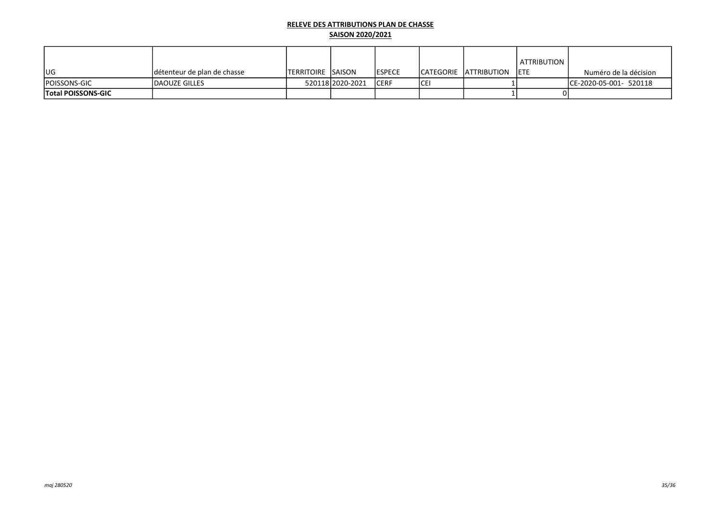| lug                       | détenteur de plan de chasse | <b>ITERRITOIRE SAISON</b> |                  | <b>IESPECE</b> |      | ICATEGORIE IATTRIBUTION | ATTRIBUTION<br><b>IETE</b> | Numéro de la décision   |
|---------------------------|-----------------------------|---------------------------|------------------|----------------|------|-------------------------|----------------------------|-------------------------|
| <b>IPOISSONS-GIC</b>      | <b>IDAOUZE GILLES</b>       |                           | 52011812020-2021 | <b>ICERF</b>   | ICEI |                         |                            | ICE-2020-05-001- 520118 |
| <b>Total POISSONS-GIC</b> |                             |                           |                  |                |      |                         |                            |                         |